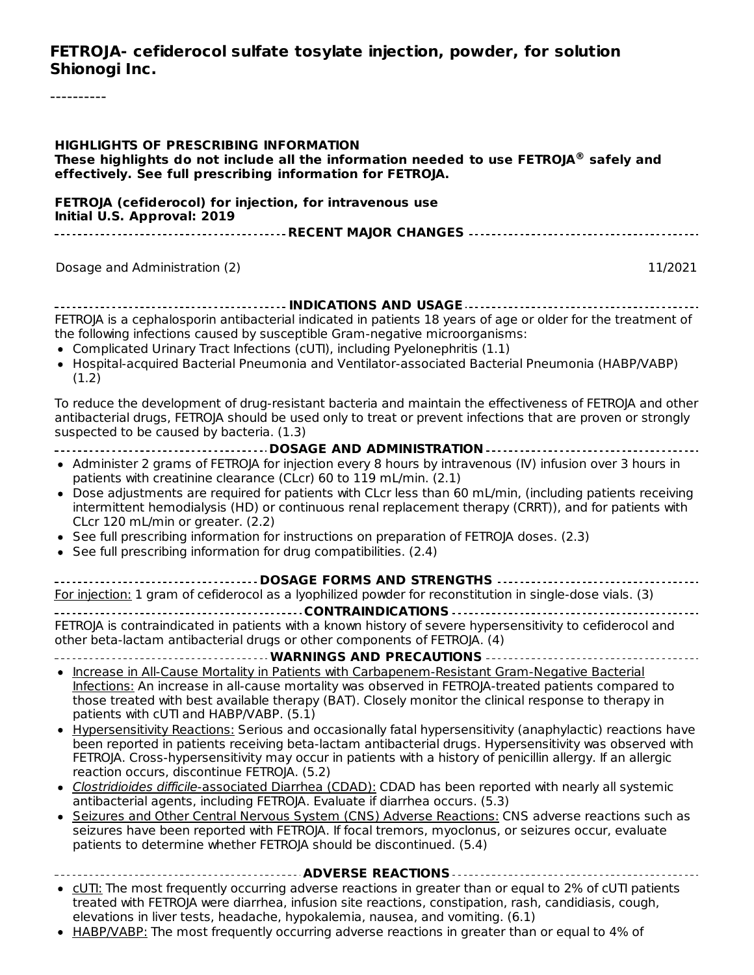#### **FETROJA- cefiderocol sulfate tosylate injection, powder, for solution Shionogi Inc.**

----------

| <b>HIGHLIGHTS OF PRESCRIBING INFORMATION</b><br>These highlights do not include all the information needed to use $FETROJA^{\circledast}$ safely and<br>effectively. See full prescribing information for FETROJA.                                                                                                                                                                                                                                                                                                                                                                                                                                                                                                                                                                                                                                                                                                                                                                                                                                                                                                                                                                                                                      |
|-----------------------------------------------------------------------------------------------------------------------------------------------------------------------------------------------------------------------------------------------------------------------------------------------------------------------------------------------------------------------------------------------------------------------------------------------------------------------------------------------------------------------------------------------------------------------------------------------------------------------------------------------------------------------------------------------------------------------------------------------------------------------------------------------------------------------------------------------------------------------------------------------------------------------------------------------------------------------------------------------------------------------------------------------------------------------------------------------------------------------------------------------------------------------------------------------------------------------------------------|
| FETROJA (cefiderocol) for injection, for intravenous use<br>Initial U.S. Approval: 2019                                                                                                                                                                                                                                                                                                                                                                                                                                                                                                                                                                                                                                                                                                                                                                                                                                                                                                                                                                                                                                                                                                                                                 |
|                                                                                                                                                                                                                                                                                                                                                                                                                                                                                                                                                                                                                                                                                                                                                                                                                                                                                                                                                                                                                                                                                                                                                                                                                                         |
|                                                                                                                                                                                                                                                                                                                                                                                                                                                                                                                                                                                                                                                                                                                                                                                                                                                                                                                                                                                                                                                                                                                                                                                                                                         |
| Dosage and Administration (2)<br>11/2021                                                                                                                                                                                                                                                                                                                                                                                                                                                                                                                                                                                                                                                                                                                                                                                                                                                                                                                                                                                                                                                                                                                                                                                                |
| FETROJA is a cephalosporin antibacterial indicated in patients 18 years of age or older for the treatment of<br>the following infections caused by susceptible Gram-negative microorganisms:<br>• Complicated Urinary Tract Infections (cUTI), including Pyelonephritis (1.1)<br>• Hospital-acquired Bacterial Pneumonia and Ventilator-associated Bacterial Pneumonia (HABP/VABP)<br>(1.2)                                                                                                                                                                                                                                                                                                                                                                                                                                                                                                                                                                                                                                                                                                                                                                                                                                             |
| To reduce the development of drug-resistant bacteria and maintain the effectiveness of FETROJA and other<br>antibacterial drugs, FETROJA should be used only to treat or prevent infections that are proven or strongly<br>suspected to be caused by bacteria. (1.3)                                                                                                                                                                                                                                                                                                                                                                                                                                                                                                                                                                                                                                                                                                                                                                                                                                                                                                                                                                    |
|                                                                                                                                                                                                                                                                                                                                                                                                                                                                                                                                                                                                                                                                                                                                                                                                                                                                                                                                                                                                                                                                                                                                                                                                                                         |
| • Administer 2 grams of FETROJA for injection every 8 hours by intravenous (IV) infusion over 3 hours in<br>patients with creatinine clearance (CLcr) 60 to 119 mL/min. (2.1)<br>• Dose adjustments are required for patients with CLcr less than 60 mL/min, (including patients receiving<br>intermittent hemodialysis (HD) or continuous renal replacement therapy (CRRT)), and for patients with<br>CLcr 120 mL/min or greater. (2.2)<br>• See full prescribing information for instructions on preparation of FETROJA doses. (2.3)<br>• See full prescribing information for drug compatibilities. (2.4)                                                                                                                                                                                                                                                                                                                                                                                                                                                                                                                                                                                                                            |
| -----------------------------------DOSAGE FORMS AND STRENGTHS ---------------------------------                                                                                                                                                                                                                                                                                                                                                                                                                                                                                                                                                                                                                                                                                                                                                                                                                                                                                                                                                                                                                                                                                                                                         |
| For injection: 1 gram of cefiderocol as a lyophilized powder for reconstitution in single-dose vials. (3)                                                                                                                                                                                                                                                                                                                                                                                                                                                                                                                                                                                                                                                                                                                                                                                                                                                                                                                                                                                                                                                                                                                               |
|                                                                                                                                                                                                                                                                                                                                                                                                                                                                                                                                                                                                                                                                                                                                                                                                                                                                                                                                                                                                                                                                                                                                                                                                                                         |
| FETROJA is contraindicated in patients with a known history of severe hypersensitivity to cefiderocol and<br>other beta-lactam antibacterial drugs or other components of FETROJA. (4)                                                                                                                                                                                                                                                                                                                                                                                                                                                                                                                                                                                                                                                                                                                                                                                                                                                                                                                                                                                                                                                  |
| . Increase in All-Cause Mortality in Patients with Carbapenem-Resistant Gram-Negative Bacterial<br>Infections: An increase in all-cause mortality was observed in FETROJA-treated patients compared to<br>those treated with best available therapy (BAT). Closely monitor the clinical response to therapy in<br>patients with cUTI and HABP/VABP. (5.1)<br>Hypersensitivity Reactions: Serious and occasionally fatal hypersensitivity (anaphylactic) reactions have<br>$\bullet$<br>been reported in patients receiving beta-lactam antibacterial drugs. Hypersensitivity was observed with<br>FETROJA. Cross-hypersensitivity may occur in patients with a history of penicillin allergy. If an allergic<br>reaction occurs, discontinue FETROJA. (5.2)<br>· Clostridioides difficile-associated Diarrhea (CDAD): CDAD has been reported with nearly all systemic<br>antibacterial agents, including FETROJA. Evaluate if diarrhea occurs. (5.3)<br>• Seizures and Other Central Nervous System (CNS) Adverse Reactions: CNS adverse reactions such as<br>seizures have been reported with FETROJA. If focal tremors, myoclonus, or seizures occur, evaluate<br>patients to determine whether FETROJA should be discontinued. (5.4) |
| • CUTI: The most frequently occurring adverse reactions in greater than or equal to 2% of cUTI patients<br>treated with FETROJA were diarrhea, infusion site reactions, constipation, rash, candidiasis, cough,<br>elevations in liver tests, headache, hypokalemia, nausea, and vomiting. (6.1)                                                                                                                                                                                                                                                                                                                                                                                                                                                                                                                                                                                                                                                                                                                                                                                                                                                                                                                                        |

• HABP/VABP: The most frequently occurring adverse reactions in greater than or equal to 4% of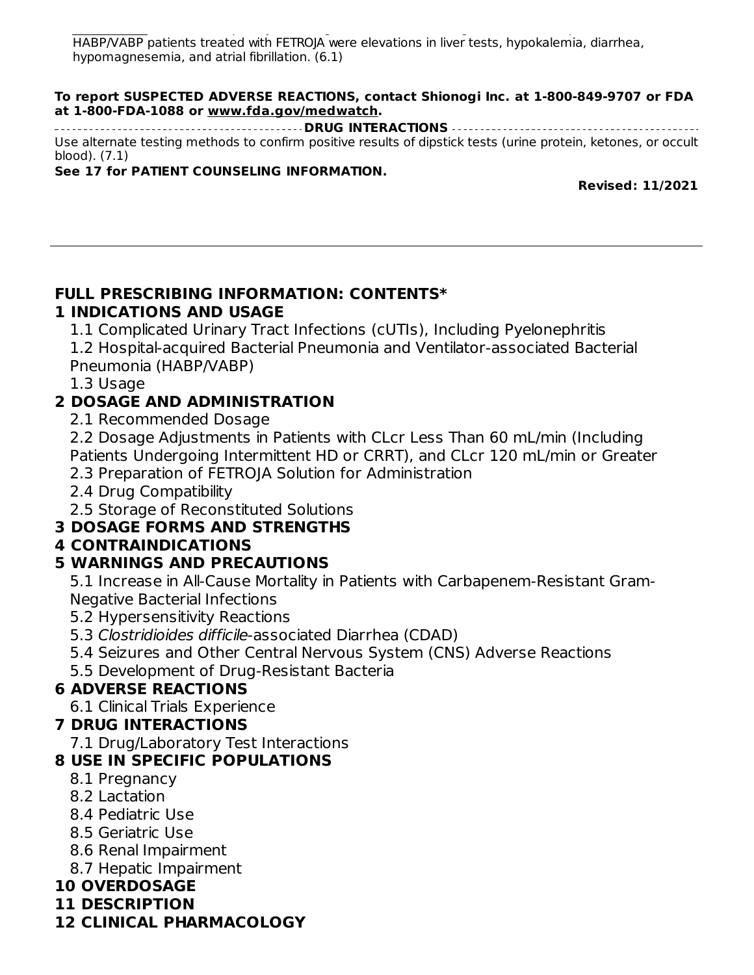Habridge: The most frequently occurring adverse reactions in greater than or equal to  $4\%$ HABP/VABP patients treated with FETROJA were elevations in liver tests, hypokalemia, diarrhea, hypomagnesemia, and atrial fibrillation. (6.1)

#### **To report SUSPECTED ADVERSE REACTIONS, contact Shionogi Inc. at 1-800-849-9707 or FDA at 1-800-FDA-1088 or www.fda.gov/medwatch.**

**DRUG INTERACTIONS** Use alternate testing methods to confirm positive results of dipstick tests (urine protein, ketones, or occult blood). (7.1)

#### **See 17 for PATIENT COUNSELING INFORMATION.**

**Revised: 11/2021**

#### **FULL PRESCRIBING INFORMATION: CONTENTS\* 1 INDICATIONS AND USAGE**

1.1 Complicated Urinary Tract Infections (cUTIs), Including Pyelonephritis 1.2 Hospital-acquired Bacterial Pneumonia and Ventilator-associated Bacterial Pneumonia (HABP/VABP)

1.3 Usage

# **2 DOSAGE AND ADMINISTRATION**

2.1 Recommended Dosage

2.2 Dosage Adjustments in Patients with CLcr Less Than 60 mL/min (Including Patients Undergoing Intermittent HD or CRRT), and CLcr 120 mL/min or Greater

2.3 Preparation of FETROJA Solution for Administration

2.4 Drug Compatibility

2.5 Storage of Reconstituted Solutions

# **3 DOSAGE FORMS AND STRENGTHS**

#### **4 CONTRAINDICATIONS**

# **5 WARNINGS AND PRECAUTIONS**

5.1 Increase in All-Cause Mortality in Patients with Carbapenem-Resistant Gram-Negative Bacterial Infections

- 5.2 Hypersensitivity Reactions
- 5.3 Clostridioides difficile-associated Diarrhea (CDAD)
- 5.4 Seizures and Other Central Nervous System (CNS) Adverse Reactions
- 5.5 Development of Drug-Resistant Bacteria

# **6 ADVERSE REACTIONS**

6.1 Clinical Trials Experience

# **7 DRUG INTERACTIONS**

7.1 Drug/Laboratory Test Interactions

#### **8 USE IN SPECIFIC POPULATIONS**

- 8.1 Pregnancy
- 8.2 Lactation
- 8.4 Pediatric Use
- 8.5 Geriatric Use
- 8.6 Renal Impairment
- 8.7 Hepatic Impairment

# **10 OVERDOSAGE**

- **11 DESCRIPTION**
- **12 CLINICAL PHARMACOLOGY**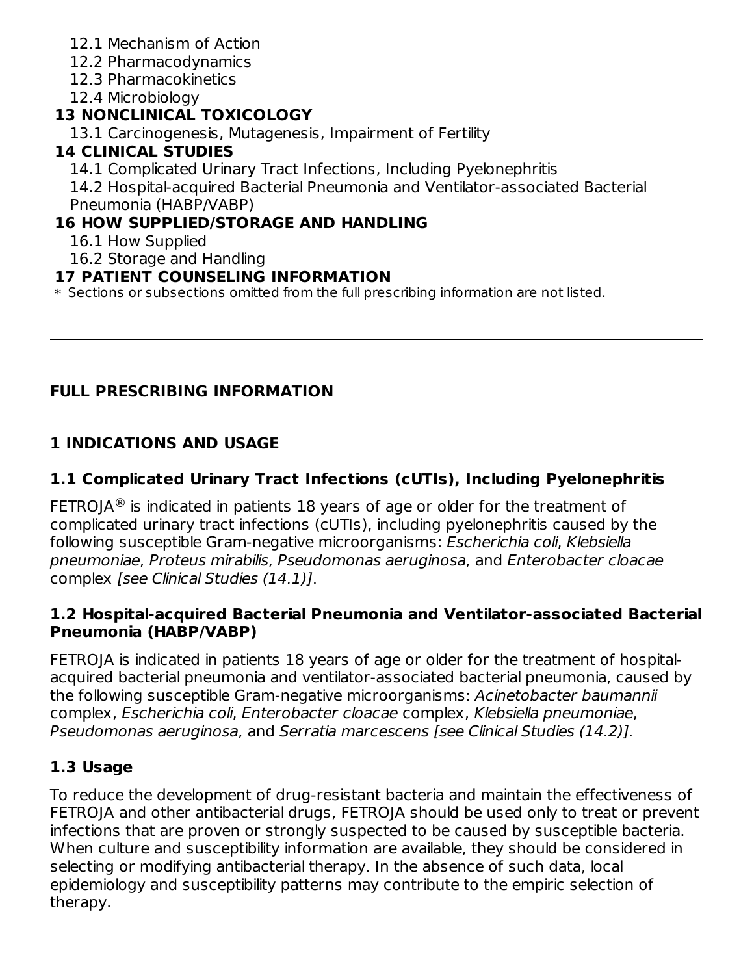- 12.1 Mechanism of Action
- 12.2 Pharmacodynamics
- 12.3 Pharmacokinetics

12.4 Microbiology

# **13 NONCLINICAL TOXICOLOGY**

13.1 Carcinogenesis, Mutagenesis, Impairment of Fertility

# **14 CLINICAL STUDIES**

14.1 Complicated Urinary Tract Infections, Including Pyelonephritis

14.2 Hospital-acquired Bacterial Pneumonia and Ventilator-associated Bacterial Pneumonia (HABP/VABP)

# **16 HOW SUPPLIED/STORAGE AND HANDLING**

16.1 How Supplied

16.2 Storage and Handling

# **17 PATIENT COUNSELING INFORMATION**

 $\ast$  Sections or subsections omitted from the full prescribing information are not listed.

# **FULL PRESCRIBING INFORMATION**

# **1 INDICATIONS AND USAGE**

# **1.1 Complicated Urinary Tract Infections (cUTIs), Including Pyelonephritis**

FETROJA $^{\circledR}$  is indicated in patients 18 years of age or older for the treatment of complicated urinary tract infections (cUTIs), including pyelonephritis caused by the following susceptible Gram-negative microorganisms: Escherichia coli, Klebsiella pneumoniae, Proteus mirabilis, Pseudomonas aeruginosa, and Enterobacter cloacae complex [see Clinical Studies (14.1)].

#### **1.2 Hospital-acquired Bacterial Pneumonia and Ventilator-associated Bacterial Pneumonia (HABP/VABP)**

FETROJA is indicated in patients 18 years of age or older for the treatment of hospitalacquired bacterial pneumonia and ventilator-associated bacterial pneumonia, caused by the following susceptible Gram-negative microorganisms: Acinetobacter baumannii complex, Escherichia coli, Enterobacter cloacae complex, Klebsiella pneumoniae, Pseudomonas aeruginosa, and Serratia marcescens [see Clinical Studies (14.2)].

# **1.3 Usage**

To reduce the development of drug-resistant bacteria and maintain the effectiveness of FETROJA and other antibacterial drugs, FETROJA should be used only to treat or prevent infections that are proven or strongly suspected to be caused by susceptible bacteria. When culture and susceptibility information are available, they should be considered in selecting or modifying antibacterial therapy. In the absence of such data, local epidemiology and susceptibility patterns may contribute to the empiric selection of therapy.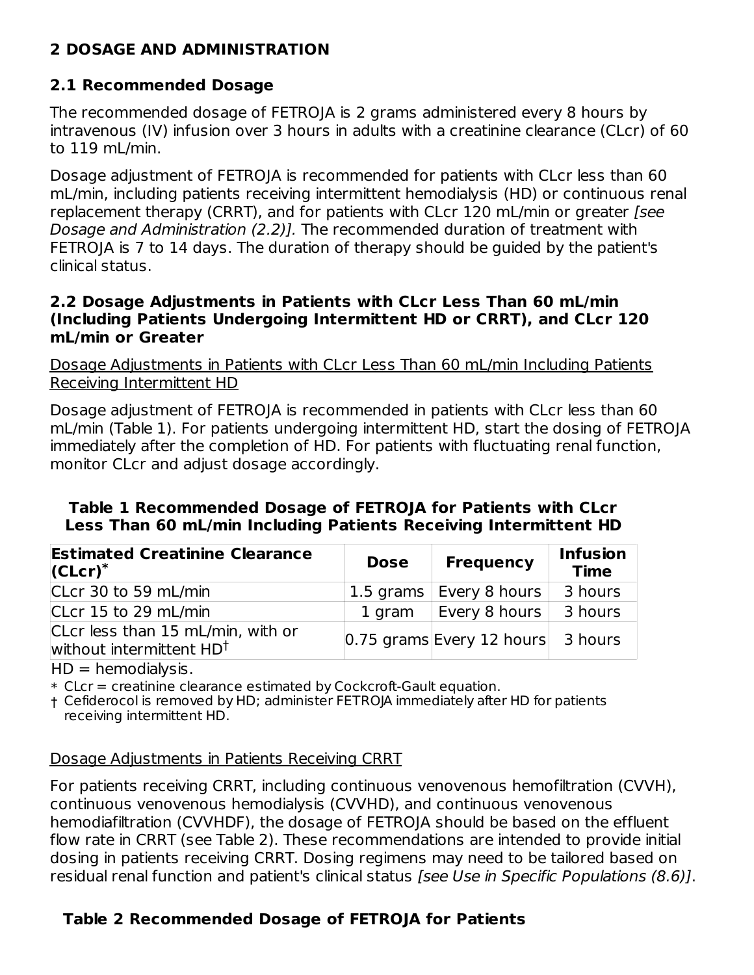## **2 DOSAGE AND ADMINISTRATION**

#### **2.1 Recommended Dosage**

The recommended dosage of FETROJA is 2 grams administered every 8 hours by intravenous (IV) infusion over 3 hours in adults with a creatinine clearance (CLcr) of 60 to 119 mL/min.

Dosage adjustment of FETROJA is recommended for patients with CLcr less than 60 mL/min, including patients receiving intermittent hemodialysis (HD) or continuous renal replacement therapy (CRRT), and for patients with CLcr 120 mL/min or greater [see Dosage and Administration (2.2)]. The recommended duration of treatment with FETROJA is 7 to 14 days. The duration of therapy should be guided by the patient's clinical status.

#### **2.2 Dosage Adjustments in Patients with CLcr Less Than 60 mL/min (Including Patients Undergoing Intermittent HD or CRRT), and CLcr 120 mL/min or Greater**

Dosage Adjustments in Patients with CLcr Less Than 60 mL/min Including Patients Receiving Intermittent HD

Dosage adjustment of FETROJA is recommended in patients with CLcr less than 60 mL/min (Table 1). For patients undergoing intermittent HD, start the dosing of FETROJA immediately after the completion of HD. For patients with fluctuating renal function, monitor CLcr and adjust dosage accordingly.

#### **Table 1 Recommended Dosage of FETROJA for Patients with CLcr Less Than 60 mL/min Including Patients Receiving Intermittent HD**

| <b>Estimated Creatinine Clearance</b><br>$ CLcr)^*$                       | <b>Dose</b> | <b>Frequency</b>                | <b>Infusion</b><br><b>Time</b> |
|---------------------------------------------------------------------------|-------------|---------------------------------|--------------------------------|
| CLcr 30 to 59 mL/min                                                      |             | 1.5 grams $\vert$ Every 8 hours | 3 hours                        |
| CLcr 15 to 29 mL/min                                                      |             | 1 gram $\vert$ Every 8 hours    | 3 hours                        |
| CLcr less than 15 mL/min, with or<br>without intermittent HD <sup>+</sup> |             | $ 0.75$ grams Every 12 hours    | 3 hours                        |

 $HD = hemodialysis.$ 

\* CLcr = creatinine clearance estimated by Cockcroft-Gault equation.

† Cefiderocol is removed by HD; administer FETROJA immediately after HD for patients receiving intermittent HD.

#### Dosage Adjustments in Patients Receiving CRRT

For patients receiving CRRT, including continuous venovenous hemofiltration (CVVH), continuous venovenous hemodialysis (CVVHD), and continuous venovenous hemodiafiltration (CVVHDF), the dosage of FETROJA should be based on the effluent flow rate in CRRT (see Table 2). These recommendations are intended to provide initial dosing in patients receiving CRRT. Dosing regimens may need to be tailored based on residual renal function and patient's clinical status [see Use in Specific Populations (8.6)].

# **Table 2 Recommended Dosage of FETROJA for Patients**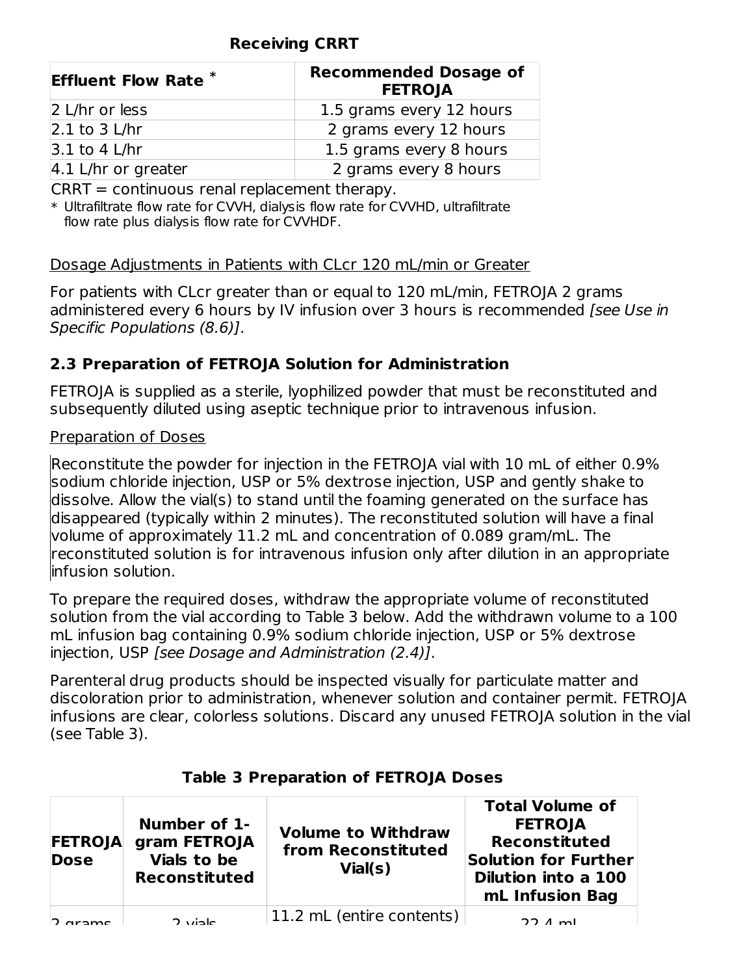#### **Receiving CRRT**

| <b>Effluent Flow Rate *</b>    | <b>Recommended Dosage of</b><br><b>FETROJA</b> |  |
|--------------------------------|------------------------------------------------|--|
| 2 L/hr or less                 | 1.5 grams every 12 hours                       |  |
| $2.1$ to 3 L/hr                | 2 grams every 12 hours                         |  |
| $3.1$ to 4 L/hr                | 1.5 grams every 8 hours                        |  |
| $ 4.1 \text{ L/hr}$ or greater | 2 grams every 8 hours                          |  |

CRRT = continuous renal replacement therapy.

\* Ultrafiltrate flow rate for CVVH, dialysis flow rate for CVVHD, ultrafiltrate flow rate plus dialysis flow rate for CVVHDF.

#### Dosage Adjustments in Patients with CLcr 120 mL/min or Greater

For patients with CLcr greater than or equal to 120 mL/min, FETROJA 2 grams administered every 6 hours by IV infusion over 3 hours is recommended [see Use in Specific Populations (8.6)].

## **2.3 Preparation of FETROJA Solution for Administration**

FETROJA is supplied as a sterile, lyophilized powder that must be reconstituted and subsequently diluted using aseptic technique prior to intravenous infusion.

#### Preparation of Doses

Reconstitute the powder for injection in the FETROJA vial with 10 mL of either 0.9% sodium chloride injection, USP or 5% dextrose injection, USP and gently shake to dissolve. Allow the vial(s) to stand until the foaming generated on the surface has disappeared (typically within 2 minutes). The reconstituted solution will have a final volume of approximately 11.2 mL and concentration of 0.089 gram/mL. The reconstituted solution is for intravenous infusion only after dilution in an appropriate infusion solution.

To prepare the required doses, withdraw the appropriate volume of reconstituted solution from the vial according to Table 3 below. Add the withdrawn volume to a 100 mL infusion bag containing 0.9% sodium chloride injection, USP or 5% dextrose injection, USP [see Dosage and Administration (2.4)].

Parenteral drug products should be inspected visually for particulate matter and discoloration prior to administration, whenever solution and container permit. FETROJA infusions are clear, colorless solutions. Discard any unused FETROJA solution in the vial (see Table 3).

| <b>FETROJA</b><br><b>Dose</b> | Number of 1-<br>gram FETROJA<br>Vials to be<br><b>Reconstituted</b> | <b>Volume to Withdraw</b><br>from Reconstituted<br>Vial(s) | <b>Total Volume of</b><br><b>FETROJA</b><br><b>Reconstituted</b><br><b>Solution for Further</b><br><b>Dilution into a 100</b><br>mL Infusion Bag |
|-------------------------------|---------------------------------------------------------------------|------------------------------------------------------------|--------------------------------------------------------------------------------------------------------------------------------------------------|
|                               | 2 viole                                                             | 11.2 mL (entire contents)                                  | $22.4 \text{ ml}$                                                                                                                                |

#### **Table 3 Preparation of FETROJA Doses**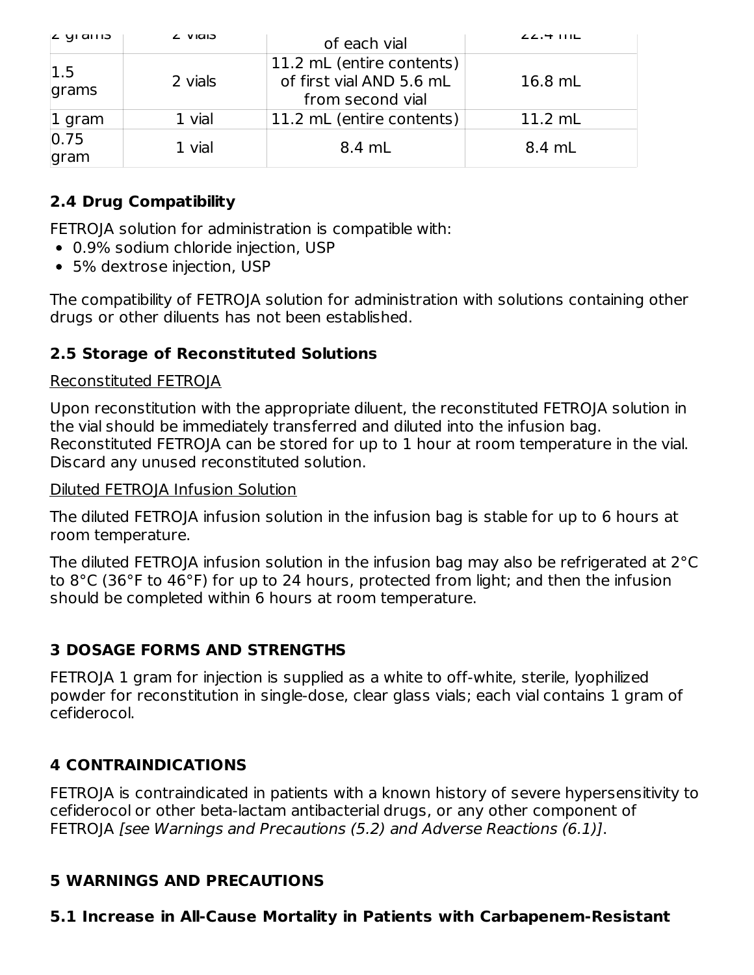| בוווס ופ      | <b>L VIGIS</b> | of each vial                                                              | $22.4$ IIIL |
|---------------|----------------|---------------------------------------------------------------------------|-------------|
| 1.5<br>grams  | 2 vials        | 11.2 mL (entire contents)<br>of first vial AND 5.6 mL<br>from second vial | $16.8$ mL   |
| $1$ gram      | 1 vial         | 11.2 mL (entire contents)                                                 | $11.2$ mL   |
| 0.75 <br>gram | 1 vial         | 8.4 mL                                                                    | 8.4 mL      |

# **2.4 Drug Compatibility**

FETROJA solution for administration is compatible with:

- 0.9% sodium chloride injection, USP
- 5% dextrose injection, USP

The compatibility of FETROJA solution for administration with solutions containing other drugs or other diluents has not been established.

#### **2.5 Storage of Reconstituted Solutions**

#### Reconstituted FETROJA

Upon reconstitution with the appropriate diluent, the reconstituted FETROJA solution in the vial should be immediately transferred and diluted into the infusion bag. Reconstituted FETROJA can be stored for up to 1 hour at room temperature in the vial. Discard any unused reconstituted solution.

#### Diluted FETROJA Infusion Solution

The diluted FETROJA infusion solution in the infusion bag is stable for up to 6 hours at room temperature.

The diluted FETROJA infusion solution in the infusion bag may also be refrigerated at 2°C to 8°C (36°F to 46°F) for up to 24 hours, protected from light; and then the infusion should be completed within 6 hours at room temperature.

#### **3 DOSAGE FORMS AND STRENGTHS**

FETROJA 1 gram for injection is supplied as a white to off-white, sterile, lyophilized powder for reconstitution in single-dose, clear glass vials; each vial contains 1 gram of cefiderocol.

#### **4 CONTRAINDICATIONS**

FETROJA is contraindicated in patients with a known history of severe hypersensitivity to cefiderocol or other beta-lactam antibacterial drugs, or any other component of FETROJA [see Warnings and Precautions (5.2) and Adverse Reactions (6.1)].

#### **5 WARNINGS AND PRECAUTIONS**

#### **5.1 Increase in All-Cause Mortality in Patients with Carbapenem-Resistant**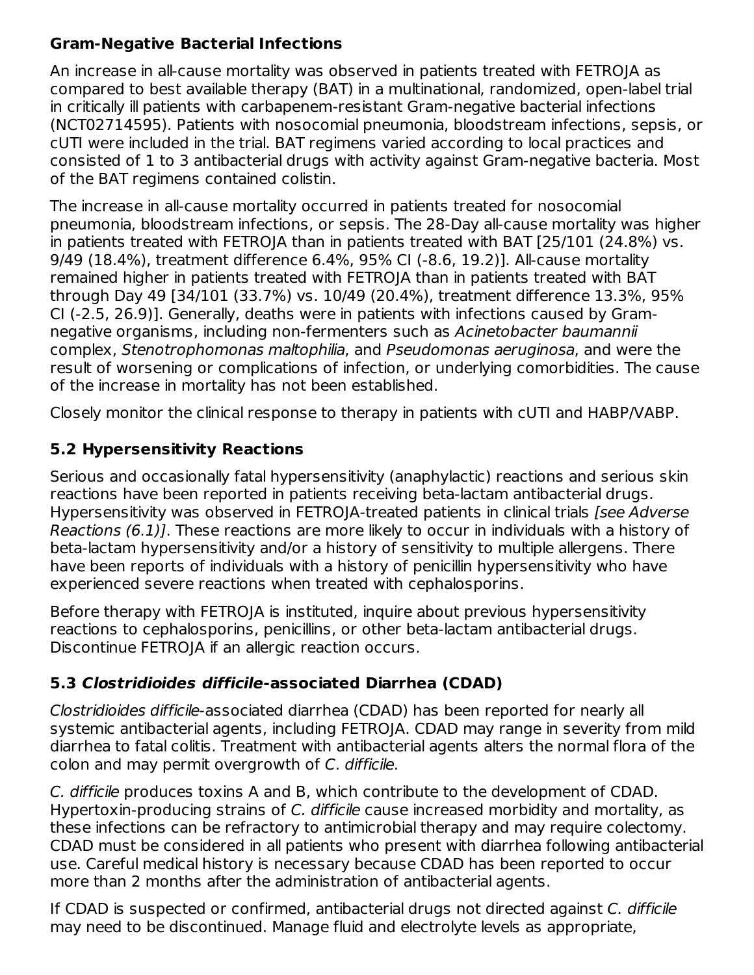#### **Gram-Negative Bacterial Infections**

An increase in all-cause mortality was observed in patients treated with FETROJA as compared to best available therapy (BAT) in a multinational, randomized, open-label trial in critically ill patients with carbapenem-resistant Gram-negative bacterial infections (NCT02714595). Patients with nosocomial pneumonia, bloodstream infections, sepsis, or cUTI were included in the trial. BAT regimens varied according to local practices and consisted of 1 to 3 antibacterial drugs with activity against Gram-negative bacteria. Most of the BAT regimens contained colistin.

The increase in all-cause mortality occurred in patients treated for nosocomial pneumonia, bloodstream infections, or sepsis. The 28-Day all-cause mortality was higher in patients treated with FETROJA than in patients treated with BAT [25/101 (24.8%) vs. 9/49 (18.4%), treatment difference 6.4%, 95% CI (-8.6, 19.2)]. All-cause mortality remained higher in patients treated with FETROJA than in patients treated with BAT through Day 49 [34/101 (33.7%) vs. 10/49 (20.4%), treatment difference 13.3%, 95% CI (-2.5, 26.9)]. Generally, deaths were in patients with infections caused by Gramnegative organisms, including non-fermenters such as Acinetobacter baumannii complex, Stenotrophomonas maltophilia, and Pseudomonas aeruginosa, and were the result of worsening or complications of infection, or underlying comorbidities. The cause of the increase in mortality has not been established.

Closely monitor the clinical response to therapy in patients with cUTI and HABP/VABP.

# **5.2 Hypersensitivity Reactions**

Serious and occasionally fatal hypersensitivity (anaphylactic) reactions and serious skin reactions have been reported in patients receiving beta-lactam antibacterial drugs. Hypersensitivity was observed in FETROJA-treated patients in clinical trials [see Adverse Reactions (6.1)]. These reactions are more likely to occur in individuals with a history of beta-lactam hypersensitivity and/or a history of sensitivity to multiple allergens. There have been reports of individuals with a history of penicillin hypersensitivity who have experienced severe reactions when treated with cephalosporins.

Before therapy with FETROJA is instituted, inquire about previous hypersensitivity reactions to cephalosporins, penicillins, or other beta-lactam antibacterial drugs. Discontinue FETROJA if an allergic reaction occurs.

# **5.3 Clostridioides difficile-associated Diarrhea (CDAD)**

Clostridioides difficile-associated diarrhea (CDAD) has been reported for nearly all systemic antibacterial agents, including FETROJA. CDAD may range in severity from mild diarrhea to fatal colitis. Treatment with antibacterial agents alters the normal flora of the colon and may permit overgrowth of C. difficile.

C. difficile produces toxins A and B, which contribute to the development of CDAD. Hypertoxin-producing strains of C. difficile cause increased morbidity and mortality, as these infections can be refractory to antimicrobial therapy and may require colectomy. CDAD must be considered in all patients who present with diarrhea following antibacterial use. Careful medical history is necessary because CDAD has been reported to occur more than 2 months after the administration of antibacterial agents.

If CDAD is suspected or confirmed, antibacterial drugs not directed against C. difficile may need to be discontinued. Manage fluid and electrolyte levels as appropriate,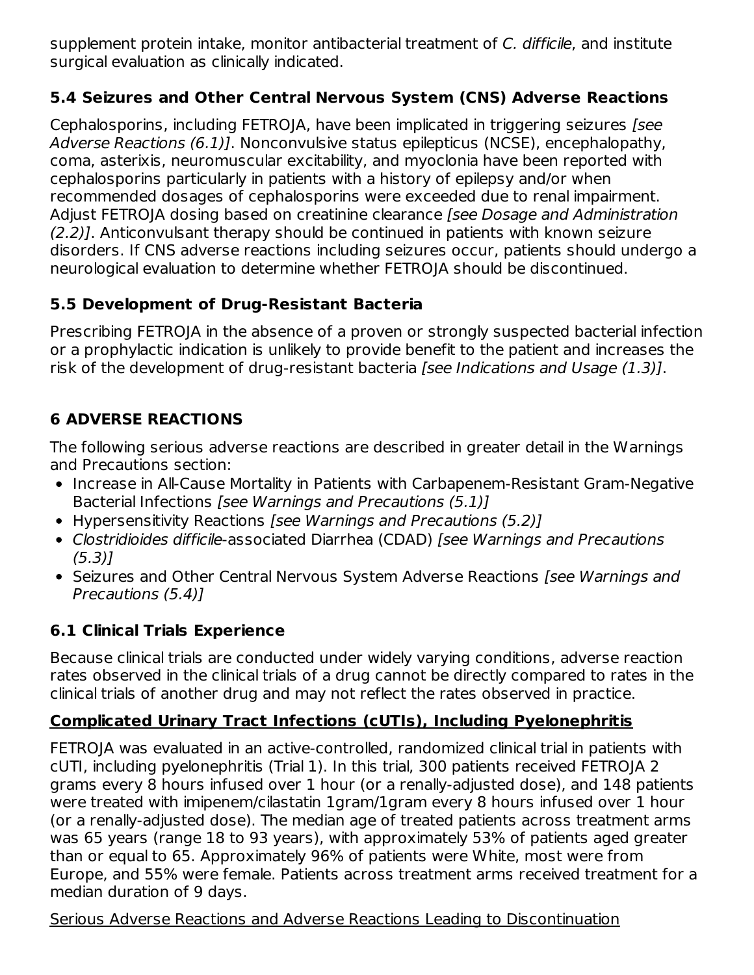supplement protein intake, monitor antibacterial treatment of C. difficile, and institute surgical evaluation as clinically indicated.

## **5.4 Seizures and Other Central Nervous System (CNS) Adverse Reactions**

Cephalosporins, including FETROJA, have been implicated in triggering seizures [see Adverse Reactions (6.1)]. Nonconvulsive status epilepticus (NCSE), encephalopathy, coma, asterixis, neuromuscular excitability, and myoclonia have been reported with cephalosporins particularly in patients with a history of epilepsy and/or when recommended dosages of cephalosporins were exceeded due to renal impairment. Adjust FETROJA dosing based on creatinine clearance *[see Dosage and Administration* (2.2)]. Anticonvulsant therapy should be continued in patients with known seizure disorders. If CNS adverse reactions including seizures occur, patients should undergo a neurological evaluation to determine whether FETROJA should be discontinued.

## **5.5 Development of Drug-Resistant Bacteria**

Prescribing FETROJA in the absence of a proven or strongly suspected bacterial infection or a prophylactic indication is unlikely to provide benefit to the patient and increases the risk of the development of drug-resistant bacteria [see Indications and Usage (1.3)].

# **6 ADVERSE REACTIONS**

The following serious adverse reactions are described in greater detail in the Warnings and Precautions section:

- Increase in All-Cause Mortality in Patients with Carbapenem-Resistant Gram-Negative Bacterial Infections [see Warnings and Precautions (5.1)]
- Hypersensitivity Reactions [see Warnings and Precautions (5.2)]
- Clostridioides difficile-associated Diarrhea (CDAD) [see Warnings and Precautions  $(5.3)$ ]
- Seizures and Other Central Nervous System Adverse Reactions [see Warnings and Precautions (5.4)]

# **6.1 Clinical Trials Experience**

Because clinical trials are conducted under widely varying conditions, adverse reaction rates observed in the clinical trials of a drug cannot be directly compared to rates in the clinical trials of another drug and may not reflect the rates observed in practice.

# **Complicated Urinary Tract Infections (cUTIs), Including Pyelonephritis**

FETROJA was evaluated in an active-controlled, randomized clinical trial in patients with cUTI, including pyelonephritis (Trial 1). In this trial, 300 patients received FETROJA 2 grams every 8 hours infused over 1 hour (or a renally-adjusted dose), and 148 patients were treated with imipenem/cilastatin 1gram/1gram every 8 hours infused over 1 hour (or a renally-adjusted dose). The median age of treated patients across treatment arms was 65 years (range 18 to 93 years), with approximately 53% of patients aged greater than or equal to 65. Approximately 96% of patients were White, most were from Europe, and 55% were female. Patients across treatment arms received treatment for a median duration of 9 days.

#### Serious Adverse Reactions and Adverse Reactions Leading to Discontinuation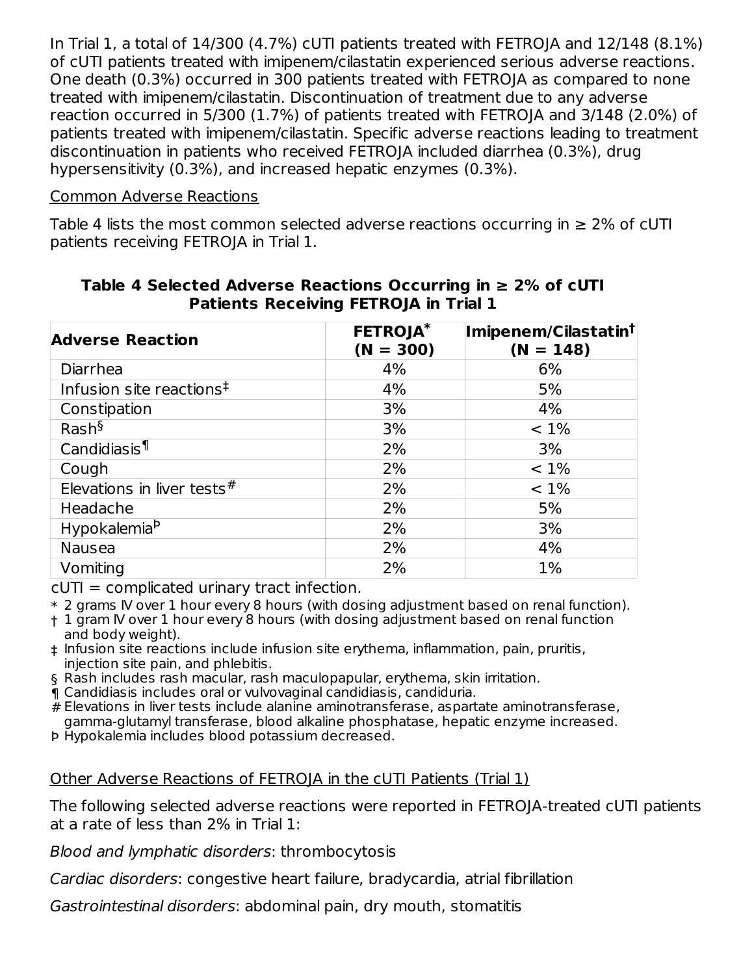In Trial 1, a total of 14/300 (4.7%) cUTI patients treated with FETROJA and 12/148 (8.1%) of cUTI patients treated with imipenem/cilastatin experienced serious adverse reactions. One death (0.3%) occurred in 300 patients treated with FETROJA as compared to none treated with imipenem/cilastatin. Discontinuation of treatment due to any adverse reaction occurred in 5/300 (1.7%) of patients treated with FETROJA and 3/148 (2.0%) of patients treated with imipenem/cilastatin. Specific adverse reactions leading to treatment discontinuation in patients who received FETROJA included diarrhea (0.3%), drug hypersensitivity (0.3%), and increased hepatic enzymes (0.3%).

#### Common Adverse Reactions

Table 4 lists the most common selected adverse reactions occurring in  $\geq 2\%$  of cUTI patients receiving FETROJA in Trial 1.

| <b>Adverse Reaction</b>              | <b>FETROJA*</b><br>$(N = 300)$ | Imipenem/Cilastatin <sup>t</sup><br>$(N = 148)$ |
|--------------------------------------|--------------------------------|-------------------------------------------------|
| Diarrhea                             | 4%                             | 6%                                              |
| Infusion site reactions <sup>‡</sup> | 4%                             | 5%                                              |
| Constipation                         | 3%                             | 4%                                              |
| Rash <sup>§</sup>                    | 3%                             | $< 1\%$                                         |
| Candidiasis <sup>1</sup>             | 2%                             | 3%                                              |
| Cough                                | 2%                             | $< 1\%$                                         |
| Elevations in liver tests $#$        | 2%                             | $< 1\%$                                         |
| Headache                             | 2%                             | 5%                                              |
| Hypokalemia <sup>b</sup>             | 2%                             | 3%                                              |
| Nausea                               | 2%                             | 4%                                              |
| Vomiting                             | 2%                             | 1%                                              |

#### **Table 4 Selected Adverse Reactions Occurring in ≥ 2% of cUTI Patients Receiving FETROJA in Trial 1**

 $cUTI =$  complicated urinary tract infection.

\* 2 grams IV over 1 hour every 8 hours (with dosing adjustment based on renal function).

- † 1 gram IV over 1 hour every 8 hours (with dosing adjustment based on renal function and body weight).
- ‡ Infusion site reactions include infusion site erythema, inflammation, pain, pruritis, injection site pain, and phlebitis.
- § Rash includes rash macular, rash maculopapular, erythema, skin irritation.
- ¶ Candidiasis includes oral or vulvovaginal candidiasis, candiduria.
- # Elevations in liver tests include alanine aminotransferase, aspartate aminotransferase, gamma-glutamyl transferase, blood alkaline phosphatase, hepatic enzyme increased.
- Þ Hypokalemia includes blood potassium decreased.

#### Other Adverse Reactions of FETROJA in the cUTI Patients (Trial 1)

The following selected adverse reactions were reported in FETROJA-treated cUTI patients at a rate of less than 2% in Trial 1:

Blood and lymphatic disorders: thrombocytosis

Cardiac disorders: congestive heart failure, bradycardia, atrial fibrillation

Gastrointestinal disorders: abdominal pain, dry mouth, stomatitis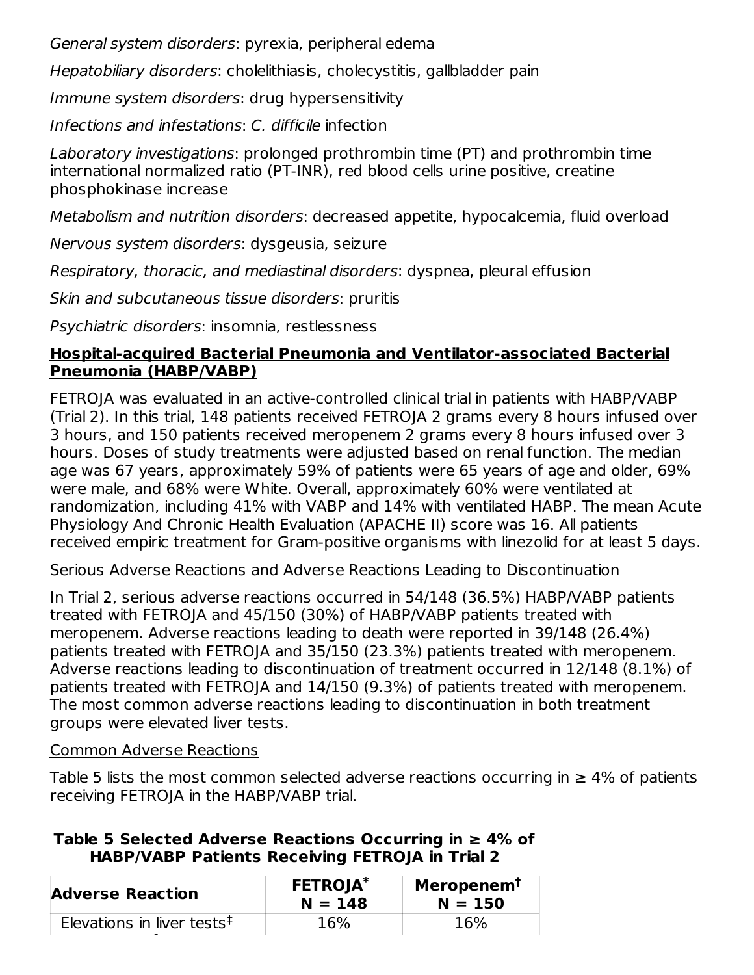General system disorders: pyrexia, peripheral edema

Hepatobiliary disorders: cholelithiasis, cholecystitis, gallbladder pain

Immune system disorders: drug hypersensitivity

Infections and infestations: C. difficile infection

Laboratory investigations: prolonged prothrombin time (PT) and prothrombin time international normalized ratio (PT-INR), red blood cells urine positive, creatine phosphokinase increase

Metabolism and nutrition disorders: decreased appetite, hypocalcemia, fluid overload

Nervous system disorders: dysgeusia, seizure

Respiratory, thoracic, and mediastinal disorders: dyspnea, pleural effusion

Skin and subcutaneous tissue disorders: pruritis

Psychiatric disorders: insomnia, restlessness

#### **Hospital-acquired Bacterial Pneumonia and Ventilator-associated Bacterial Pneumonia (HABP/VABP)**

FETROJA was evaluated in an active-controlled clinical trial in patients with HABP/VABP (Trial 2). In this trial, 148 patients received FETROJA 2 grams every 8 hours infused over 3 hours, and 150 patients received meropenem 2 grams every 8 hours infused over 3 hours. Doses of study treatments were adjusted based on renal function. The median age was 67 years, approximately 59% of patients were 65 years of age and older, 69% were male, and 68% were White. Overall, approximately 60% were ventilated at randomization, including 41% with VABP and 14% with ventilated HABP. The mean Acute Physiology And Chronic Health Evaluation (APACHE II) score was 16. All patients received empiric treatment for Gram-positive organisms with linezolid for at least 5 days.

#### Serious Adverse Reactions and Adverse Reactions Leading to Discontinuation

In Trial 2, serious adverse reactions occurred in 54/148 (36.5%) HABP/VABP patients treated with FETROJA and 45/150 (30%) of HABP/VABP patients treated with meropenem. Adverse reactions leading to death were reported in 39/148 (26.4%) patients treated with FETROJA and 35/150 (23.3%) patients treated with meropenem. Adverse reactions leading to discontinuation of treatment occurred in 12/148 (8.1%) of patients treated with FETROJA and 14/150 (9.3%) of patients treated with meropenem. The most common adverse reactions leading to discontinuation in both treatment groups were elevated liver tests.

#### Common Adverse Reactions

Table 5 lists the most common selected adverse reactions occurring in  $\geq 4\%$  of patients receiving FETROJA in the HABP/VABP trial.

#### **Table 5 Selected Adverse Reactions Occurring in ≥ 4% of HABP/VABP Patients Receiving FETROJA in Trial 2**

| <b>Adverse Reaction</b>                                    | <b>FETROJA*</b><br>$N = 148$ | Meropenem <sup>t</sup><br>$N = 150$ |
|------------------------------------------------------------|------------------------------|-------------------------------------|
| Elevations in liver tests <sup><math>\ddagger</math></sup> | 16%                          | 16%                                 |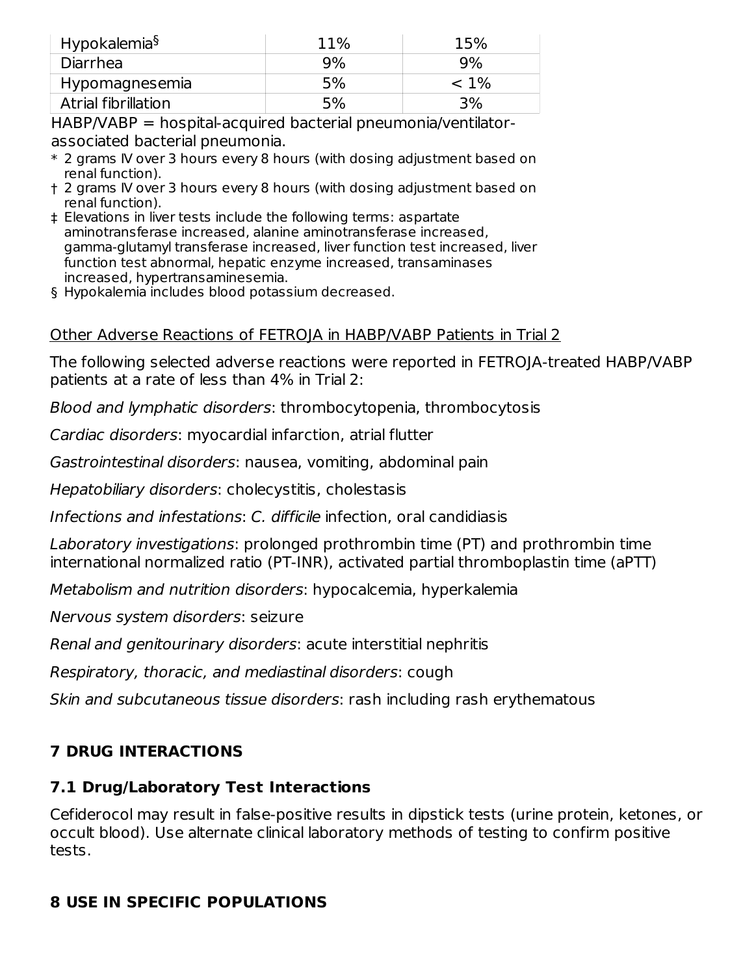| Hypokalemia <sup>§</sup> | 11% | 15%     |
|--------------------------|-----|---------|
| Diarrhea                 | 9%  | 9%      |
| Hypomagnesemia           | 5%  | $< 1\%$ |
| Atrial fibrillation      | 5%  | 3%      |

HABP/VABP = hospital-acquired bacterial pneumonia/ventilatorassociated bacterial pneumonia.

- \* 2 grams IV over 3 hours every 8 hours (with dosing adjustment based on renal function).
- † 2 grams IV over 3 hours every 8 hours (with dosing adjustment based on renal function).
- ‡ Elevations in liver tests include the following terms: aspartate aminotransferase increased, alanine aminotransferase increased, gamma-glutamyl transferase increased, liver function test increased, liver function test abnormal, hepatic enzyme increased, transaminases increased, hypertransaminesemia.
- § Hypokalemia includes blood potassium decreased.

## Other Adverse Reactions of FETROJA in HABP/VABP Patients in Trial 2

The following selected adverse reactions were reported in FETROJA-treated HABP/VABP patients at a rate of less than 4% in Trial 2:

Blood and lymphatic disorders: thrombocytopenia, thrombocytosis

Cardiac disorders: myocardial infarction, atrial flutter

Gastrointestinal disorders: nausea, vomiting, abdominal pain

Hepatobiliary disorders: cholecystitis, cholestasis

Infections and infestations: C. difficile infection, oral candidiasis

Laboratory investigations: prolonged prothrombin time (PT) and prothrombin time international normalized ratio (PT-INR), activated partial thromboplastin time (aPTT)

Metabolism and nutrition disorders: hypocalcemia, hyperkalemia

Nervous system disorders: seizure

Renal and genitourinary disorders: acute interstitial nephritis

Respiratory, thoracic, and mediastinal disorders: cough

Skin and subcutaneous tissue disorders: rash including rash erythematous

# **7 DRUG INTERACTIONS**

# **7.1 Drug/Laboratory Test Interactions**

Cefiderocol may result in false-positive results in dipstick tests (urine protein, ketones, or occult blood). Use alternate clinical laboratory methods of testing to confirm positive tests.

# **8 USE IN SPECIFIC POPULATIONS**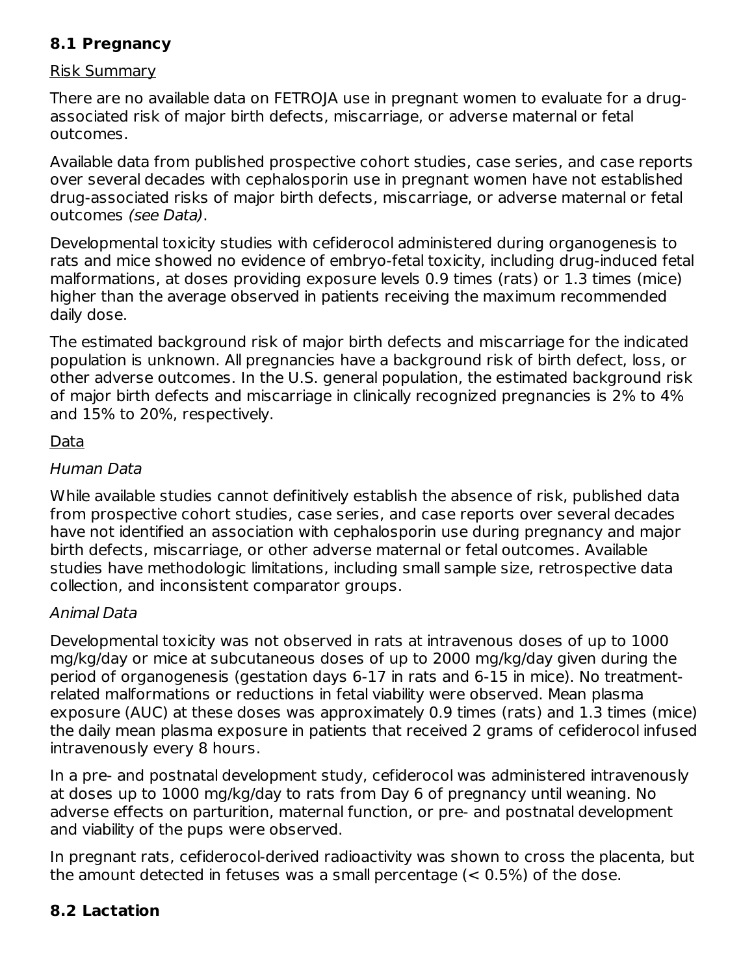## **8.1 Pregnancy**

#### Risk Summary

There are no available data on FETROJA use in pregnant women to evaluate for a drugassociated risk of major birth defects, miscarriage, or adverse maternal or fetal outcomes.

Available data from published prospective cohort studies, case series, and case reports over several decades with cephalosporin use in pregnant women have not established drug-associated risks of major birth defects, miscarriage, or adverse maternal or fetal outcomes (see Data).

Developmental toxicity studies with cefiderocol administered during organogenesis to rats and mice showed no evidence of embryo-fetal toxicity, including drug-induced fetal malformations, at doses providing exposure levels 0.9 times (rats) or 1.3 times (mice) higher than the average observed in patients receiving the maximum recommended daily dose.

The estimated background risk of major birth defects and miscarriage for the indicated population is unknown. All pregnancies have a background risk of birth defect, loss, or other adverse outcomes. In the U.S. general population, the estimated background risk of major birth defects and miscarriage in clinically recognized pregnancies is 2% to 4% and 15% to 20%, respectively.

#### Data

#### Human Data

While available studies cannot definitively establish the absence of risk, published data from prospective cohort studies, case series, and case reports over several decades have not identified an association with cephalosporin use during pregnancy and major birth defects, miscarriage, or other adverse maternal or fetal outcomes. Available studies have methodologic limitations, including small sample size, retrospective data collection, and inconsistent comparator groups.

#### Animal Data

Developmental toxicity was not observed in rats at intravenous doses of up to 1000 mg/kg/day or mice at subcutaneous doses of up to 2000 mg/kg/day given during the period of organogenesis (gestation days 6-17 in rats and 6-15 in mice). No treatmentrelated malformations or reductions in fetal viability were observed. Mean plasma exposure (AUC) at these doses was approximately 0.9 times (rats) and 1.3 times (mice) the daily mean plasma exposure in patients that received 2 grams of cefiderocol infused intravenously every 8 hours.

In a pre- and postnatal development study, cefiderocol was administered intravenously at doses up to 1000 mg/kg/day to rats from Day 6 of pregnancy until weaning. No adverse effects on parturition, maternal function, or pre- and postnatal development and viability of the pups were observed.

In pregnant rats, cefiderocol-derived radioactivity was shown to cross the placenta, but the amount detected in fetuses was a small percentage  $(< 0.5\%)$  of the dose.

# **8.2 Lactation**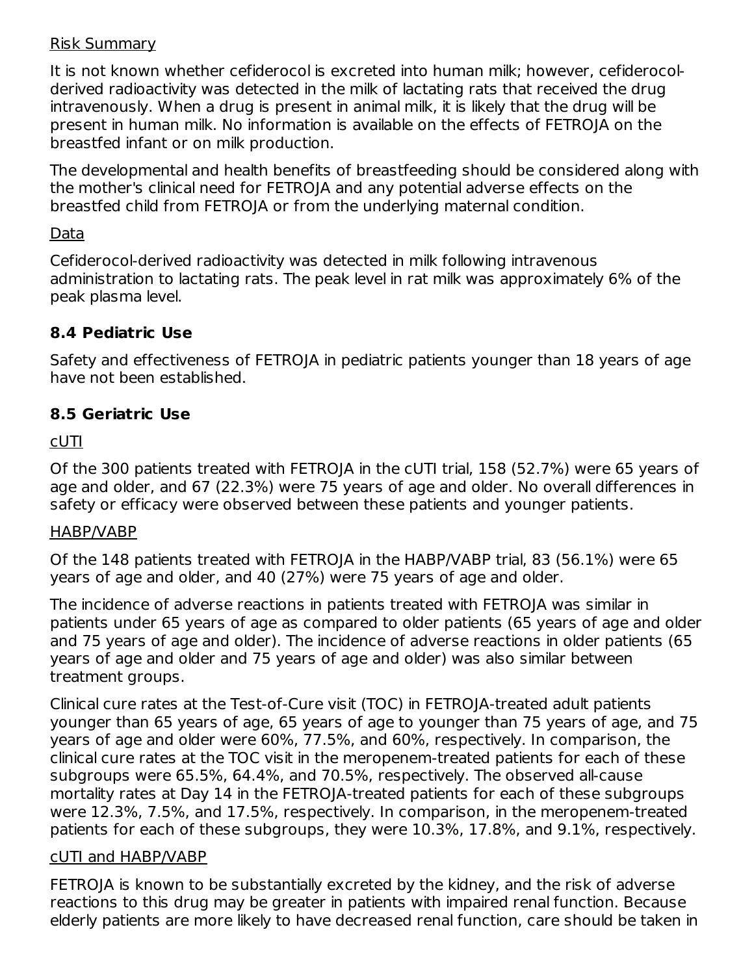#### Risk Summary

It is not known whether cefiderocol is excreted into human milk; however, cefiderocolderived radioactivity was detected in the milk of lactating rats that received the drug intravenously. When a drug is present in animal milk, it is likely that the drug will be present in human milk. No information is available on the effects of FETROJA on the breastfed infant or on milk production.

The developmental and health benefits of breastfeeding should be considered along with the mother's clinical need for FETROJA and any potential adverse effects on the breastfed child from FETROJA or from the underlying maternal condition.

#### Data

Cefiderocol-derived radioactivity was detected in milk following intravenous administration to lactating rats. The peak level in rat milk was approximately 6% of the peak plasma level.

## **8.4 Pediatric Use**

Safety and effectiveness of FETROJA in pediatric patients younger than 18 years of age have not been established.

## **8.5 Geriatric Use**

#### cUTI

Of the 300 patients treated with FETROJA in the cUTI trial, 158 (52.7%) were 65 years of age and older, and 67 (22.3%) were 75 years of age and older. No overall differences in safety or efficacy were observed between these patients and younger patients.

#### HABP/VABP

Of the 148 patients treated with FETROJA in the HABP/VABP trial, 83 (56.1%) were 65 years of age and older, and 40 (27%) were 75 years of age and older.

The incidence of adverse reactions in patients treated with FETROJA was similar in patients under 65 years of age as compared to older patients (65 years of age and older and 75 years of age and older). The incidence of adverse reactions in older patients (65 years of age and older and 75 years of age and older) was also similar between treatment groups.

Clinical cure rates at the Test-of-Cure visit (TOC) in FETROJA-treated adult patients younger than 65 years of age, 65 years of age to younger than 75 years of age, and 75 years of age and older were 60%, 77.5%, and 60%, respectively. In comparison, the clinical cure rates at the TOC visit in the meropenem-treated patients for each of these subgroups were 65.5%, 64.4%, and 70.5%, respectively. The observed all-cause mortality rates at Day 14 in the FETROJA-treated patients for each of these subgroups were 12.3%, 7.5%, and 17.5%, respectively. In comparison, in the meropenem-treated patients for each of these subgroups, they were 10.3%, 17.8%, and 9.1%, respectively.

#### cUTI and HABP/VABP

FETROJA is known to be substantially excreted by the kidney, and the risk of adverse reactions to this drug may be greater in patients with impaired renal function. Because elderly patients are more likely to have decreased renal function, care should be taken in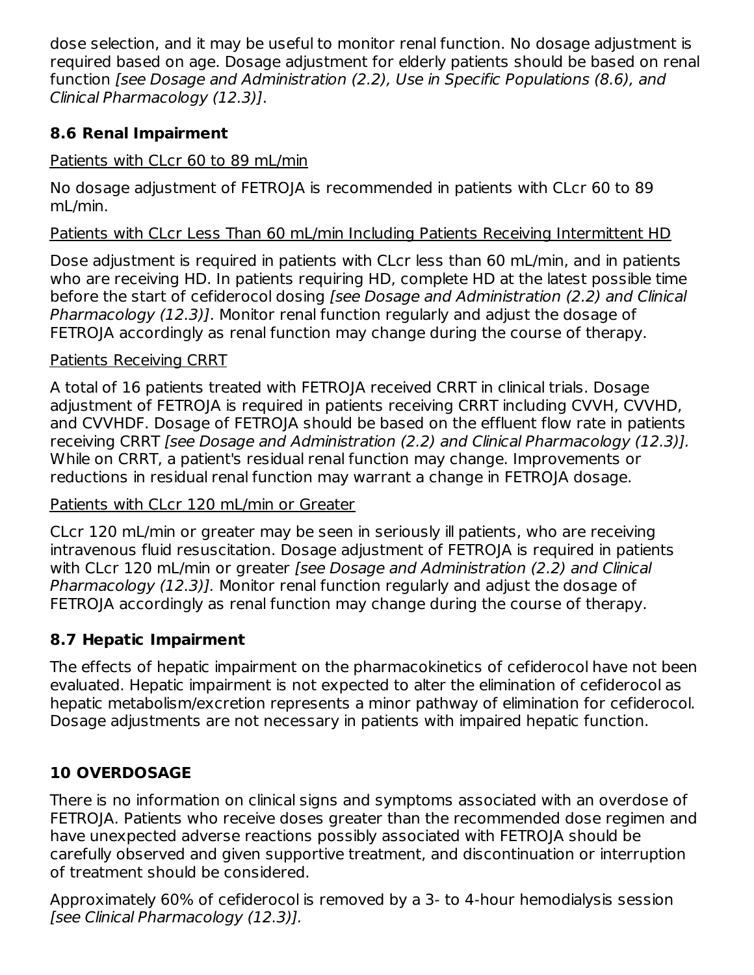dose selection, and it may be useful to monitor renal function. No dosage adjustment is required based on age. Dosage adjustment for elderly patients should be based on renal function [see Dosage and Administration (2.2), Use in Specific Populations (8.6), and Clinical Pharmacology (12.3)].

# **8.6 Renal Impairment**

## Patients with CLcr 60 to 89 mL/min

No dosage adjustment of FETROJA is recommended in patients with CLcr 60 to 89 mL/min.

### Patients with CLcr Less Than 60 mL/min Including Patients Receiving Intermittent HD

Dose adjustment is required in patients with CLcr less than 60 mL/min, and in patients who are receiving HD. In patients requiring HD, complete HD at the latest possible time before the start of cefiderocol dosing [see Dosage and Administration (2.2) and Clinical Pharmacology (12.3)]. Monitor renal function regularly and adjust the dosage of FETROJA accordingly as renal function may change during the course of therapy.

## Patients Receiving CRRT

A total of 16 patients treated with FETROJA received CRRT in clinical trials. Dosage adjustment of FETROJA is required in patients receiving CRRT including CVVH, CVVHD, and CVVHDF. Dosage of FETROJA should be based on the effluent flow rate in patients receiving CRRT [see Dosage and Administration (2.2) and Clinical Pharmacology (12.3)]. While on CRRT, a patient's residual renal function may change. Improvements or reductions in residual renal function may warrant a change in FETROJA dosage.

#### Patients with CLcr 120 mL/min or Greater

CLcr 120 mL/min or greater may be seen in seriously ill patients, who are receiving intravenous fluid resuscitation. Dosage adjustment of FETROJA is required in patients with CLcr 120 mL/min or greater [see Dosage and Administration (2.2) and Clinical Pharmacology (12.3)]. Monitor renal function regularly and adjust the dosage of FETROJA accordingly as renal function may change during the course of therapy.

# **8.7 Hepatic Impairment**

The effects of hepatic impairment on the pharmacokinetics of cefiderocol have not been evaluated. Hepatic impairment is not expected to alter the elimination of cefiderocol as hepatic metabolism/excretion represents a minor pathway of elimination for cefiderocol. Dosage adjustments are not necessary in patients with impaired hepatic function.

# **10 OVERDOSAGE**

There is no information on clinical signs and symptoms associated with an overdose of FETROJA. Patients who receive doses greater than the recommended dose regimen and have unexpected adverse reactions possibly associated with FETROJA should be carefully observed and given supportive treatment, and discontinuation or interruption of treatment should be considered.

Approximately 60% of cefiderocol is removed by a 3- to 4-hour hemodialysis session [see Clinical Pharmacology (12.3)].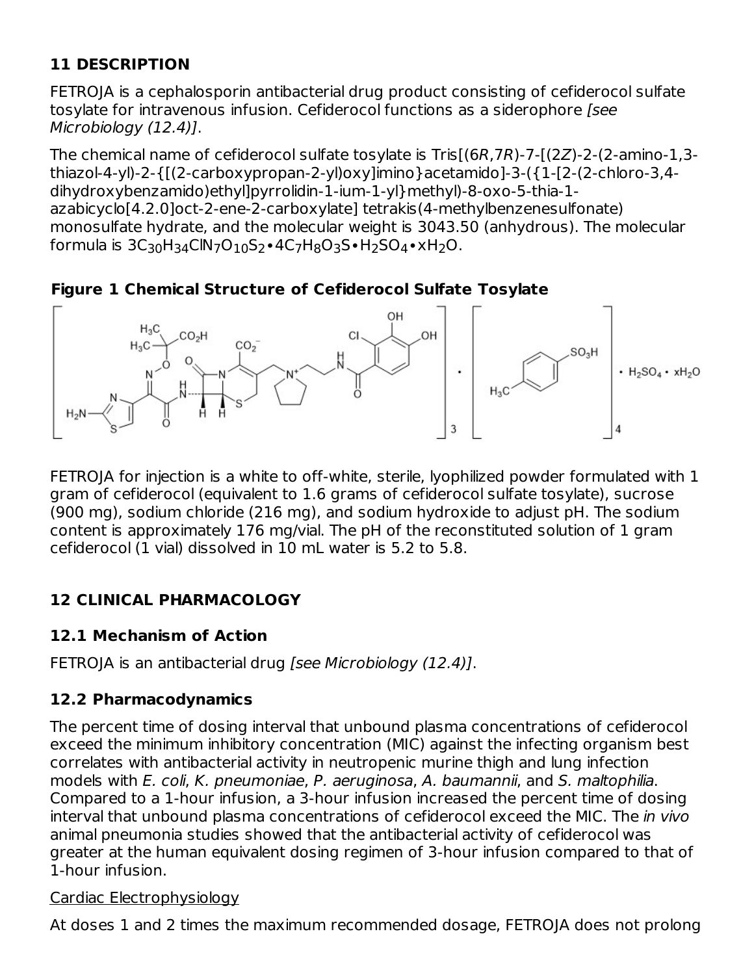# **11 DESCRIPTION**

FETROJA is a cephalosporin antibacterial drug product consisting of cefiderocol sulfate tosylate for intravenous infusion. Cefiderocol functions as a siderophore [see Microbiology (12.4)].

The chemical name of cefiderocol sulfate tosylate is Tris[(6R,7R)-7-[(2Z)-2-(2-amino-1,3 thiazol-4-yl)-2-{[(2-carboxypropan-2-yl)oxy]imino}acetamido]-3-({1-[2-(2-chloro-3,4 dihydroxybenzamido)ethyl]pyrrolidin-1-ium-1-yl}methyl)-8-oxo-5-thia-1 azabicyclo[4.2.0]oct-2-ene-2-carboxylate] tetrakis(4-methylbenzenesulfonate) monosulfate hydrate, and the molecular weight is 3043.50 (anhydrous). The molecular formula is 3C<sub>30</sub>H<sub>34</sub>ClN<sub>7</sub>O<sub>10</sub>S<sub>2</sub>•4C<sub>7</sub>H<sub>8</sub>O<sub>3</sub>S•H<sub>2</sub>SO<sub>4</sub>•xH<sub>2</sub>O.

**Figure 1 Chemical Structure of Cefiderocol Sulfate Tosylate**



FETROJA for injection is a white to off-white, sterile, lyophilized powder formulated with 1 gram of cefiderocol (equivalent to 1.6 grams of cefiderocol sulfate tosylate), sucrose (900 mg), sodium chloride (216 mg), and sodium hydroxide to adjust pH. The sodium content is approximately 176 mg/vial. The pH of the reconstituted solution of 1 gram cefiderocol (1 vial) dissolved in 10 mL water is 5.2 to 5.8.

# **12 CLINICAL PHARMACOLOGY**

#### **12.1 Mechanism of Action**

FETROJA is an antibacterial drug [see Microbiology (12.4)].

# **12.2 Pharmacodynamics**

The percent time of dosing interval that unbound plasma concentrations of cefiderocol exceed the minimum inhibitory concentration (MIC) against the infecting organism best correlates with antibacterial activity in neutropenic murine thigh and lung infection models with E. coli, K. pneumoniae, P. aeruginosa, A. baumannii, and S. maltophilia. Compared to a 1-hour infusion, a 3-hour infusion increased the percent time of dosing interval that unbound plasma concentrations of cefiderocol exceed the MIC. The in vivo animal pneumonia studies showed that the antibacterial activity of cefiderocol was greater at the human equivalent dosing regimen of 3-hour infusion compared to that of 1-hour infusion.

#### Cardiac Electrophysiology

At doses 1 and 2 times the maximum recommended dosage, FETROJA does not prolong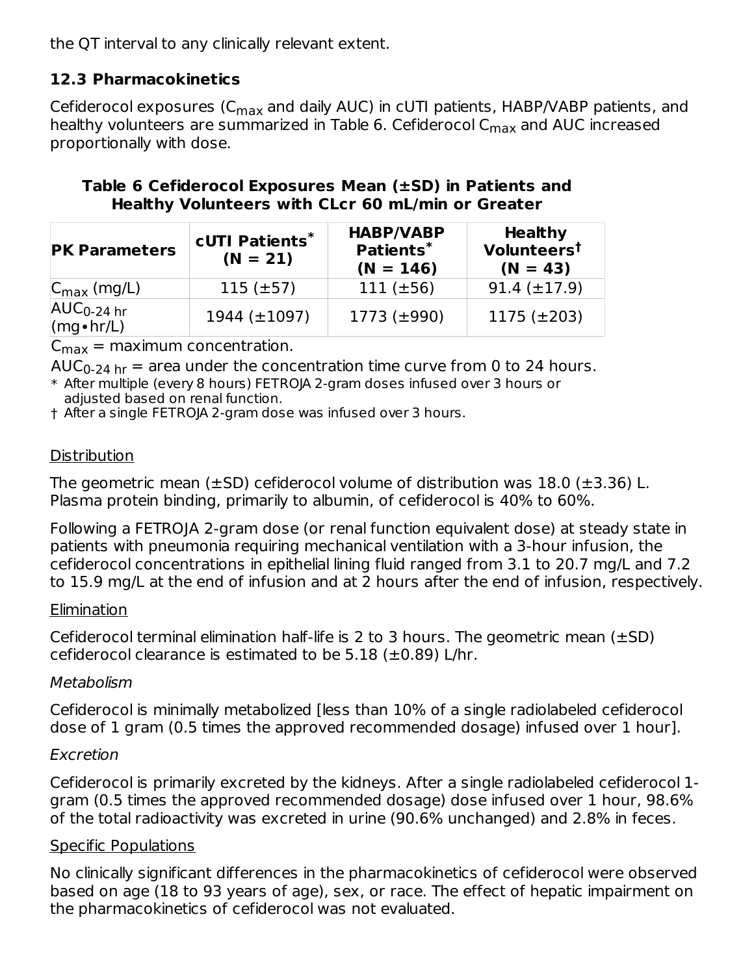the QT interval to any clinically relevant extent.

# **12.3 Pharmacokinetics**

Cefiderocol exposures (C<sub>max</sub> and daily AUC) in cUTI patients, HABP/VABP patients, and healthy volunteers are summarized in Table 6. Cefiderocol C<sub>max</sub> and AUC increased proportionally with dose.

#### **Table 6 Cefiderocol Exposures Mean (±SD) in Patients and Healthy Volunteers with CLcr 60 mL/min or Greater**

| <b>PK Parameters</b>                 | <b>cUTI Patients*</b><br>$(N = 21)$ | <b>HABP/VABP</b><br>Patients*<br>$(N = 146)$ | <b>Healthy</b><br>Volunteers <sup>t</sup><br>$(N = 43)$ |
|--------------------------------------|-------------------------------------|----------------------------------------------|---------------------------------------------------------|
| $ C_{\text{max}}$ (mg/L)             | $115 \ (\pm 57)$                    | $111 (+56)$                                  | $91.4 (\pm 17.9)$                                       |
| $AUC_{0-24}$ hr<br>$(mg \cdot hr/L)$ | $1944 \ (\pm 1097)$                 | $1773 (\pm 990)$                             | $1175 (\pm 203)$                                        |

 $C_{\text{max}} = \text{maximum concentration.}$ 

 $\mathsf{AUC}_{0\text{-}24\text{ hr}} =$  area under the concentration time curve from 0 to 24 hours.

\* After multiple (every 8 hours) FETROJA 2-gram doses infused over 3 hours or adjusted based on renal function.

† After a single FETROJA 2-gram dose was infused over 3 hours.

## **Distribution**

The geometric mean ( $\pm$ SD) cefiderocol volume of distribution was 18.0 ( $\pm$ 3.36) L. Plasma protein binding, primarily to albumin, of cefiderocol is 40% to 60%.

Following a FETROJA 2-gram dose (or renal function equivalent dose) at steady state in patients with pneumonia requiring mechanical ventilation with a 3-hour infusion, the cefiderocol concentrations in epithelial lining fluid ranged from 3.1 to 20.7 mg/L and 7.2 to 15.9 mg/L at the end of infusion and at 2 hours after the end of infusion, respectively.

#### **Elimination**

Cefiderocol terminal elimination half-life is 2 to 3 hours. The geometric mean  $(\pm SD)$ cefiderocol clearance is estimated to be  $5.18$  ( $\pm 0.89$ ) L/hr.

# Metabolism

Cefiderocol is minimally metabolized [less than 10% of a single radiolabeled cefiderocol dose of 1 gram (0.5 times the approved recommended dosage) infused over 1 hour].

# Excretion

Cefiderocol is primarily excreted by the kidneys. After a single radiolabeled cefiderocol 1 gram (0.5 times the approved recommended dosage) dose infused over 1 hour, 98.6% of the total radioactivity was excreted in urine (90.6% unchanged) and 2.8% in feces.

# Specific Populations

No clinically significant differences in the pharmacokinetics of cefiderocol were observed based on age (18 to 93 years of age), sex, or race. The effect of hepatic impairment on the pharmacokinetics of cefiderocol was not evaluated.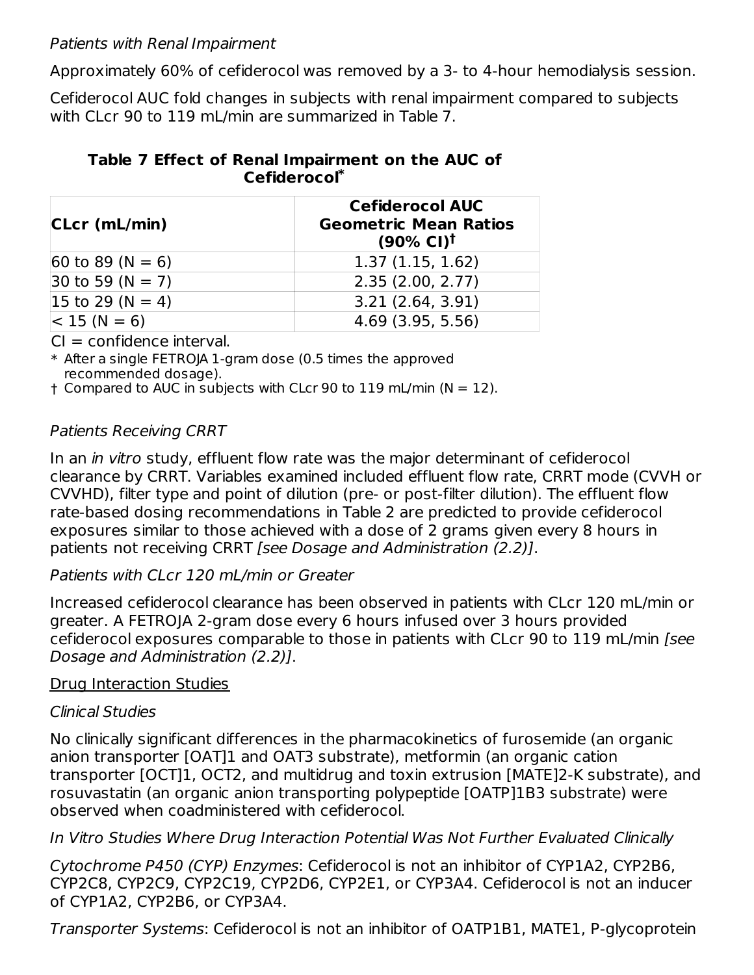#### Patients with Renal Impairment

Approximately 60% of cefiderocol was removed by a 3- to 4-hour hemodialysis session.

Cefiderocol AUC fold changes in subjects with renal impairment compared to subjects with CLcr 90 to 119 mL/min are summarized in Table 7.

#### **Table 7 Effect of Renal Impairment on the AUC of Cefiderocol \***

| CLcr (mL/min)                          | <b>Cefiderocol AUC</b><br><b>Geometric Mean Ratios</b><br>$(90\% \text{ Cl})^{\dagger}$ |
|----------------------------------------|-----------------------------------------------------------------------------------------|
| $ 60 \text{ to } 89 \text{ (N } = 6) $ | 1.37(1.15, 1.62)                                                                        |
| $30 \text{ to } 59 \text{ (N } = 7)$   | 2.35(2.00, 2.77)                                                                        |
| $ 15 \text{ to } 29 \text{ (N } = 4) $ | 3.21(2.64, 3.91)                                                                        |
| $ < 15 (N = 6)$                        | 4.69(3.95, 5.56)                                                                        |

 $Cl =$  confidence interval.

\* After a single FETROJA 1-gram dose (0.5 times the approved recommended dosage).

† Compared to AUC in subjects with CLcr 90 to 119 mL/min (N = 12).

## Patients Receiving CRRT

In an in vitro study, effluent flow rate was the major determinant of cefiderocol clearance by CRRT. Variables examined included effluent flow rate, CRRT mode (CVVH or CVVHD), filter type and point of dilution (pre- or post-filter dilution). The effluent flow rate-based dosing recommendations in Table 2 are predicted to provide cefiderocol exposures similar to those achieved with a dose of 2 grams given every 8 hours in patients not receiving CRRT [see Dosage and Administration (2.2)].

#### Patients with CLcr 120 mL/min or Greater

Increased cefiderocol clearance has been observed in patients with CLcr 120 mL/min or greater. A FETROJA 2-gram dose every 6 hours infused over 3 hours provided cefiderocol exposures comparable to those in patients with CLcr 90 to 119 mL/min [see Dosage and Administration (2.2)].

#### Drug Interaction Studies

#### Clinical Studies

No clinically significant differences in the pharmacokinetics of furosemide (an organic anion transporter [OAT]1 and OAT3 substrate), metformin (an organic cation transporter [OCT]1, OCT2, and multidrug and toxin extrusion [MATE]2-K substrate), and rosuvastatin (an organic anion transporting polypeptide [OATP]1B3 substrate) were observed when coadministered with cefiderocol.

#### In Vitro Studies Where Drug Interaction Potential Was Not Further Evaluated Clinically

Cytochrome P450 (CYP) Enzymes: Cefiderocol is not an inhibitor of CYP1A2, CYP2B6, CYP2C8, CYP2C9, CYP2C19, CYP2D6, CYP2E1, or CYP3A4. Cefiderocol is not an inducer of CYP1A2, CYP2B6, or CYP3A4.

Transporter Systems: Cefiderocol is not an inhibitor of OATP1B1, MATE1, P-glycoprotein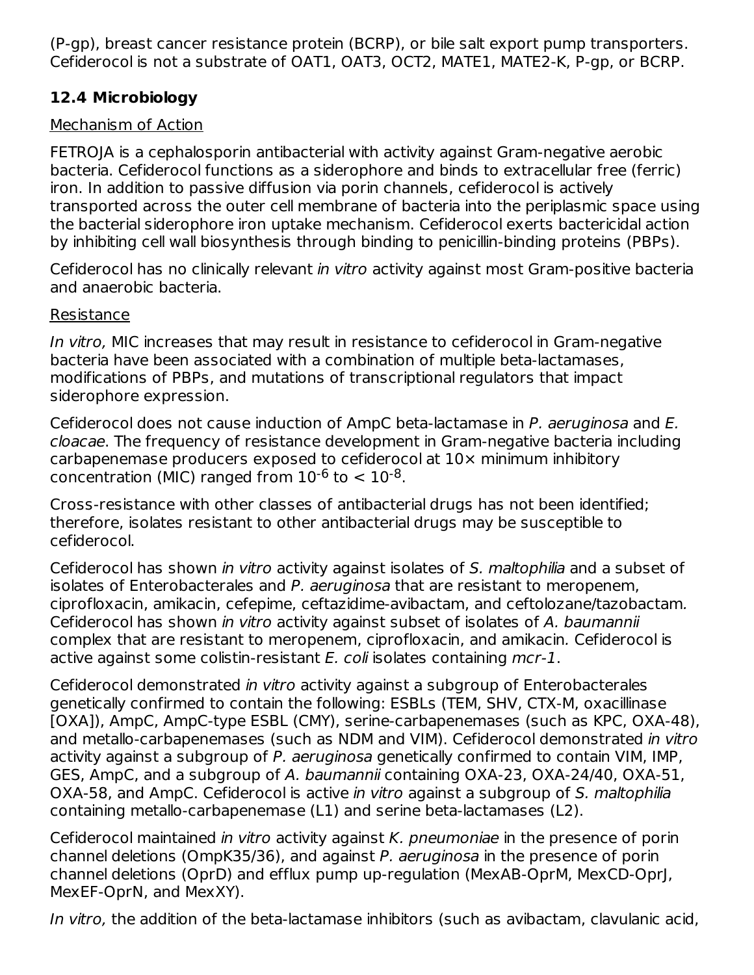(P-gp), breast cancer resistance protein (BCRP), or bile salt export pump transporters. Cefiderocol is not a substrate of OAT1, OAT3, OCT2, MATE1, MATE2-K, P-gp, or BCRP.

## **12.4 Microbiology**

## Mechanism of Action

FETROJA is a cephalosporin antibacterial with activity against Gram-negative aerobic bacteria. Cefiderocol functions as a siderophore and binds to extracellular free (ferric) iron. In addition to passive diffusion via porin channels, cefiderocol is actively transported across the outer cell membrane of bacteria into the periplasmic space using the bacterial siderophore iron uptake mechanism. Cefiderocol exerts bactericidal action by inhibiting cell wall biosynthesis through binding to penicillin-binding proteins (PBPs).

Cefiderocol has no clinically relevant in vitro activity against most Gram-positive bacteria and anaerobic bacteria.

## Resistance

In vitro, MIC increases that may result in resistance to cefiderocol in Gram-negative bacteria have been associated with a combination of multiple beta-lactamases, modifications of PBPs, and mutations of transcriptional regulators that impact siderophore expression.

Cefiderocol does not cause induction of AmpC beta-lactamase in P. aeruginosa and E. cloacae. The frequency of resistance development in Gram-negative bacteria including carbapenemase producers exposed to cefiderocol at 10× minimum inhibitory concentration (MIC) ranged from  $10^{-6}$  to  $< 10^{-8}$ .

Cross-resistance with other classes of antibacterial drugs has not been identified; therefore, isolates resistant to other antibacterial drugs may be susceptible to cefiderocol.

Cefiderocol has shown in vitro activity against isolates of S. maltophilia and a subset of isolates of Enterobacterales and P. aeruginosa that are resistant to meropenem, ciprofloxacin, amikacin, cefepime, ceftazidime-avibactam, and ceftolozane/tazobactam. Cefiderocol has shown in vitro activity against subset of isolates of A. baumannii complex that are resistant to meropenem, ciprofloxacin, and amikacin. Cefiderocol is active against some colistin-resistant  $E$ . coli isolates containing mcr-1.

Cefiderocol demonstrated in vitro activity against a subgroup of Enterobacterales genetically confirmed to contain the following: ESBLs (TEM, SHV, CTX-M, oxacillinase [OXA]), AmpC, AmpC-type ESBL (CMY), serine-carbapenemases (such as KPC, OXA-48), and metallo-carbapenemases (such as NDM and VIM). Cefiderocol demonstrated in vitro activity against a subgroup of P. aeruginosa genetically confirmed to contain VIM, IMP, GES, AmpC, and a subgroup of A. baumannii containing OXA-23, OXA-24/40, OXA-51, OXA-58, and AmpC. Cefiderocol is active in vitro against a subgroup of S. maltophilia containing metallo-carbapenemase (L1) and serine beta-lactamases (L2).

Cefiderocol maintained in vitro activity against K. pneumoniae in the presence of porin channel deletions (OmpK35/36), and against P. aeruginosa in the presence of porin channel deletions (OprD) and efflux pump up-regulation (MexAB-OprM, MexCD-OprJ, MexEF-OprN, and MexXY).

In vitro, the addition of the beta-lactamase inhibitors (such as avibactam, clavulanic acid,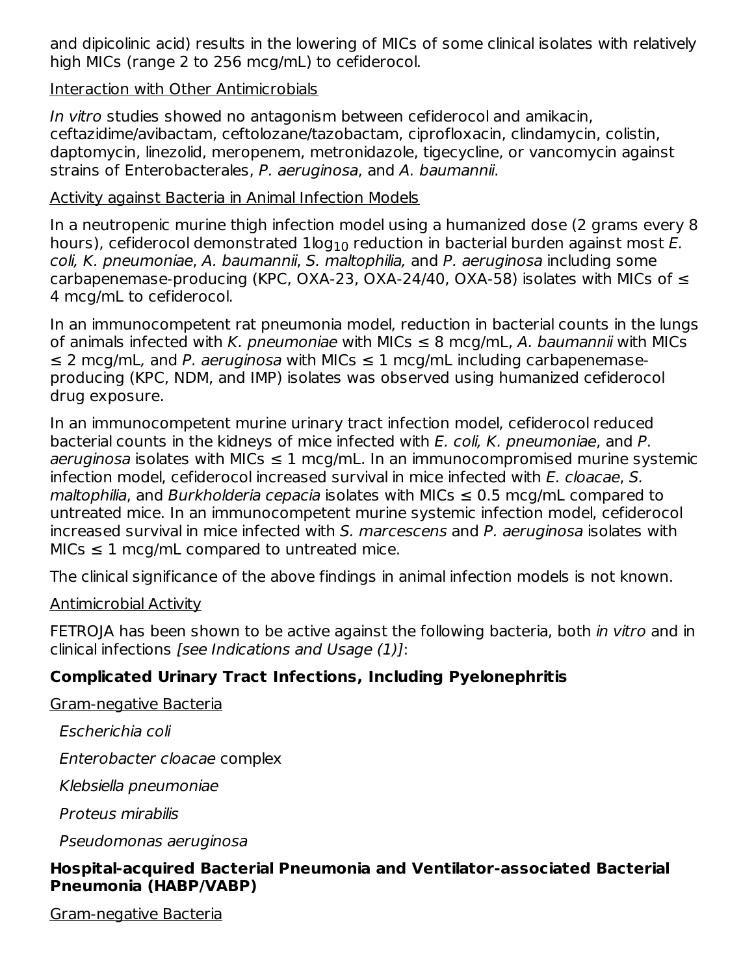and dipicolinic acid) results in the lowering of MICs of some clinical isolates with relatively high MICs (range 2 to 256 mcg/mL) to cefiderocol.

#### Interaction with Other Antimicrobials

In vitro studies showed no antagonism between cefiderocol and amikacin, ceftazidime/avibactam, ceftolozane/tazobactam, ciprofloxacin, clindamycin, colistin, daptomycin, linezolid, meropenem, metronidazole, tigecycline, or vancomycin against strains of Enterobacterales, P. aeruginosa, and A. baumannii.

#### Activity against Bacteria in Animal Infection Models

In a neutropenic murine thigh infection model using a humanized dose (2 grams every 8 hours), cefiderocol demonstrated  $1\mathsf{log}_{10}$  reduction in bacterial burden against most  $E$ . coli, K. pneumoniae, A. baumannii, S. maltophilia, and P. aeruginosa including some carbapenemase-producing (KPC, OXA-23, OXA-24/40, OXA-58) isolates with MICs of  $\leq$ 4 mcg/mL to cefiderocol.

In an immunocompetent rat pneumonia model, reduction in bacterial counts in the lungs of animals infected with K. pneumoniae with MICs  $\leq$  8 mcg/mL, A. baumannii with MICs  $\leq$  2 mcg/mL, and P, aeruginosa with MICs  $\leq$  1 mcg/mL including carbapenemaseproducing (KPC, NDM, and IMP) isolates was observed using humanized cefiderocol drug exposure.

In an immunocompetent murine urinary tract infection model, cefiderocol reduced bacterial counts in the kidneys of mice infected with E. coli, K. pneumoniae, and P.  $a$ eruginosa isolates with MICs  $\leq 1$  mcg/mL. In an immunocompromised murine systemic infection model, cefiderocol increased survival in mice infected with E. cloacae, S. maltophilia, and Burkholderia cepacia isolates with MICs  $\leq$  0.5 mcg/mL compared to untreated mice. In an immunocompetent murine systemic infection model, cefiderocol increased survival in mice infected with S. marcescens and P. aeruginosa isolates with  $MIS \leq 1$  mcg/mL compared to untreated mice.

The clinical significance of the above findings in animal infection models is not known.

#### Antimicrobial Activity

FETROJA has been shown to be active against the following bacteria, both in vitro and in clinical infections [see Indications and Usage (1)]:

# **Complicated Urinary Tract Infections, Including Pyelonephritis**

Gram-negative Bacteria

Escherichia coli

Enterobacter cloacae complex

Klebsiella pneumoniae

Proteus mirabilis

Pseudomonas aeruginosa

## **Hospital-acquired Bacterial Pneumonia and Ventilator-associated Bacterial Pneumonia (HABP/VABP)**

Gram-negative Bacteria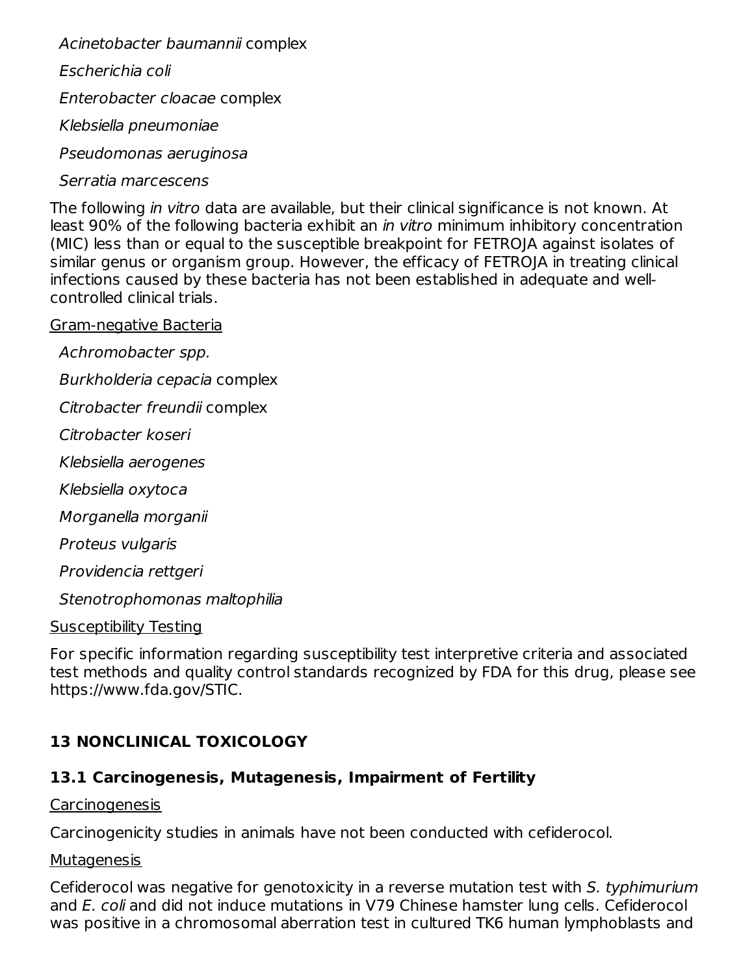Acinetobacter baumannii complex

Escherichia coli

Enterobacter cloacae complex

Klebsiella pneumoniae

Pseudomonas aeruginosa

#### Serratia marcescens

The following in vitro data are available, but their clinical significance is not known. At least 90% of the following bacteria exhibit an in vitro minimum inhibitory concentration (MIC) less than or equal to the susceptible breakpoint for FETROJA against isolates of similar genus or organism group. However, the efficacy of FETROJA in treating clinical infections caused by these bacteria has not been established in adequate and wellcontrolled clinical trials.

#### Gram-negative Bacteria

Achromobacter spp. Burkholderia cepacia complex Citrobacter freundii complex Citrobacter koseri Klebsiella aerogenes Klebsiella oxytoca Morganella morganii Proteus vulgaris Providencia rettgeri Stenotrophomonas maltophilia Susceptibility Testing

For specific information regarding susceptibility test interpretive criteria and associated test methods and quality control standards recognized by FDA for this drug, please see https://www.fda.gov/STIC.

# **13 NONCLINICAL TOXICOLOGY**

# **13.1 Carcinogenesis, Mutagenesis, Impairment of Fertility**

Carcinogenesis

Carcinogenicity studies in animals have not been conducted with cefiderocol.

#### **Mutagenesis**

Cefiderocol was negative for genotoxicity in a reverse mutation test with S. typhimurium and E. coli and did not induce mutations in V79 Chinese hamster lung cells. Cefiderocol was positive in a chromosomal aberration test in cultured TK6 human lymphoblasts and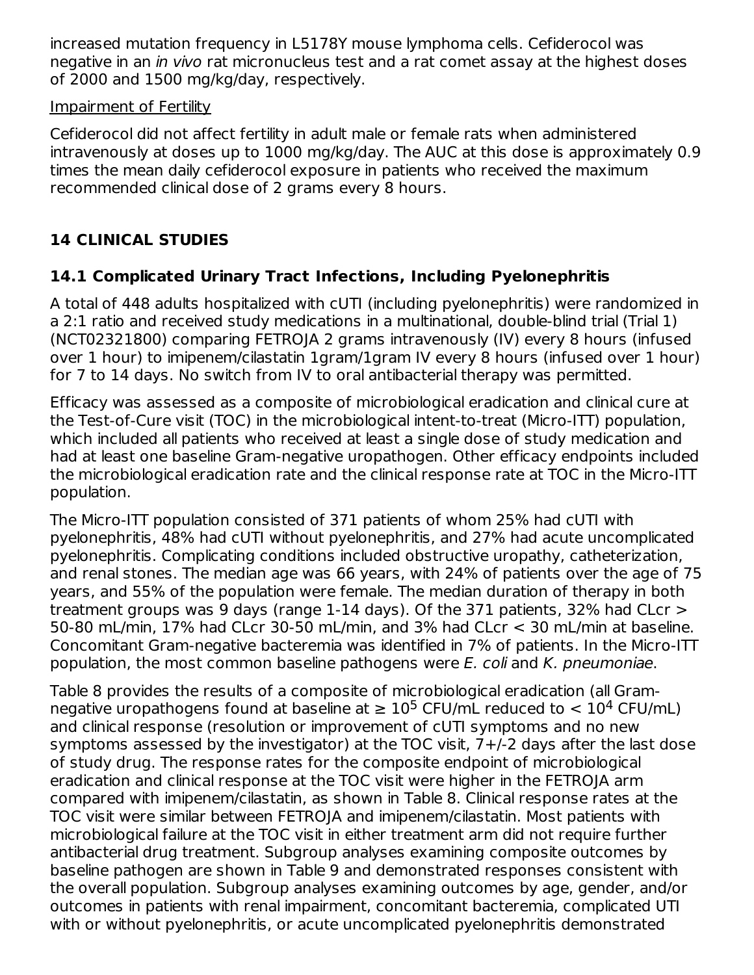increased mutation frequency in L5178Y mouse lymphoma cells. Cefiderocol was negative in an in vivo rat micronucleus test and a rat comet assay at the highest doses of 2000 and 1500 mg/kg/day, respectively.

#### Impairment of Fertility

Cefiderocol did not affect fertility in adult male or female rats when administered intravenously at doses up to 1000 mg/kg/day. The AUC at this dose is approximately 0.9 times the mean daily cefiderocol exposure in patients who received the maximum recommended clinical dose of 2 grams every 8 hours.

# **14 CLINICAL STUDIES**

# **14.1 Complicated Urinary Tract Infections, Including Pyelonephritis**

A total of 448 adults hospitalized with cUTI (including pyelonephritis) were randomized in a 2:1 ratio and received study medications in a multinational, double-blind trial (Trial 1) (NCT02321800) comparing FETROJA 2 grams intravenously (IV) every 8 hours (infused over 1 hour) to imipenem/cilastatin 1gram/1gram IV every 8 hours (infused over 1 hour) for 7 to 14 days. No switch from IV to oral antibacterial therapy was permitted.

Efficacy was assessed as a composite of microbiological eradication and clinical cure at the Test-of-Cure visit (TOC) in the microbiological intent-to-treat (Micro-ITT) population, which included all patients who received at least a single dose of study medication and had at least one baseline Gram-negative uropathogen. Other efficacy endpoints included the microbiological eradication rate and the clinical response rate at TOC in the Micro-ITT population.

The Micro-ITT population consisted of 371 patients of whom 25% had cUTI with pyelonephritis, 48% had cUTI without pyelonephritis, and 27% had acute uncomplicated pyelonephritis. Complicating conditions included obstructive uropathy, catheterization, and renal stones. The median age was 66 years, with 24% of patients over the age of 75 years, and 55% of the population were female. The median duration of therapy in both treatment groups was 9 days (range 1-14 days). Of the 371 patients, 32% had CLcr > 50-80 mL/min, 17% had CLcr 30-50 mL/min, and 3% had CLcr < 30 mL/min at baseline. Concomitant Gram-negative bacteremia was identified in 7% of patients. In the Micro-ITT population, the most common baseline pathogens were E. coli and K. pneumoniae.

Table 8 provides the results of a composite of microbiological eradication (all Gramnegative uropathogens found at baseline at  $\geq 10^5$  CFU/mL reduced to  $< 10^4$  CFU/mL) and clinical response (resolution or improvement of cUTI symptoms and no new symptoms assessed by the investigator) at the TOC visit,  $7+/2$  days after the last dose of study drug. The response rates for the composite endpoint of microbiological eradication and clinical response at the TOC visit were higher in the FETROJA arm compared with imipenem/cilastatin, as shown in Table 8. Clinical response rates at the TOC visit were similar between FETROJA and imipenem/cilastatin. Most patients with microbiological failure at the TOC visit in either treatment arm did not require further antibacterial drug treatment. Subgroup analyses examining composite outcomes by baseline pathogen are shown in Table 9 and demonstrated responses consistent with the overall population. Subgroup analyses examining outcomes by age, gender, and/or outcomes in patients with renal impairment, concomitant bacteremia, complicated UTI with or without pyelonephritis, or acute uncomplicated pyelonephritis demonstrated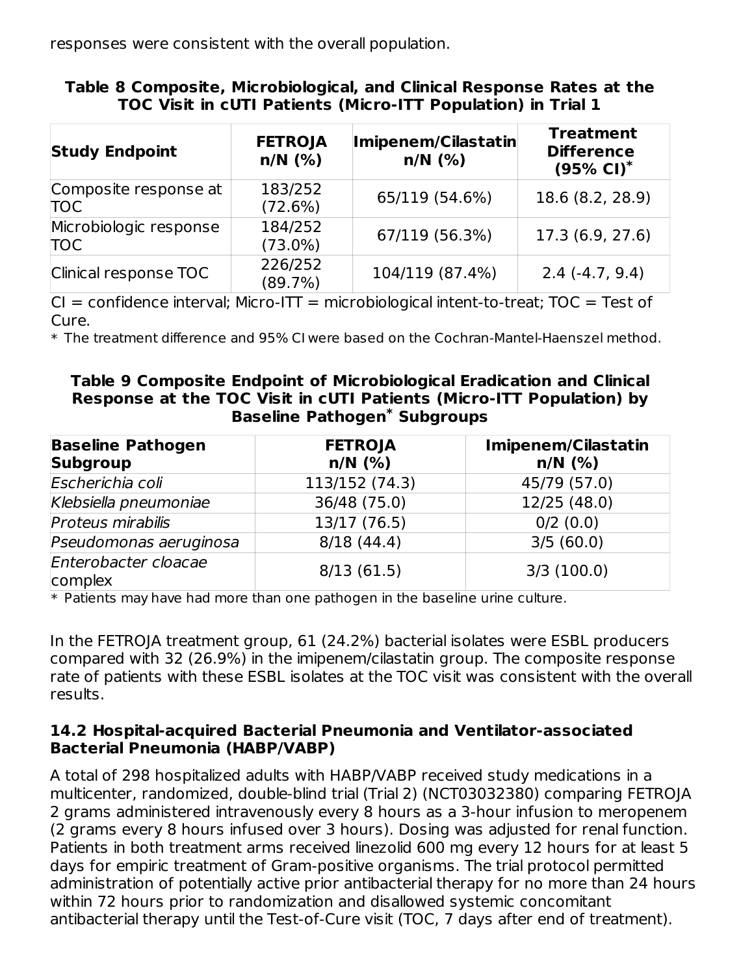responses were consistent with the overall population.

| <b>Study Endpoint</b>                | <b>FETROJA</b><br>$n/N$ (%) | Imipenem/Cilastatin<br>$n/N$ (%) | <b>Treatment</b><br><b>Difference</b><br>$(95\% \text{ Cl})^*$ |
|--------------------------------------|-----------------------------|----------------------------------|----------------------------------------------------------------|
| Composite response at<br><b>TOC</b>  | 183/252<br>(72.6%)          | 65/119 (54.6%)                   | 18.6 (8.2, 28.9)                                               |
| Microbiologic response<br><b>TOC</b> | 184/252<br>$(73.0\%)$       | 67/119 (56.3%)                   | 17.3 (6.9, 27.6)                                               |
| Clinical response TOC                | 226/252<br>(89.7%)          | 104/119 (87.4%)                  | $2.4(-4.7, 9.4)$                                               |

#### **Table 8 Composite, Microbiological, and Clinical Response Rates at the TOC Visit in cUTI Patients (Micro-ITT Population) in Trial 1**

 $CI =$  confidence interval; Micro-ITT = microbiological intent-to-treat; TOC = Test of Cure.

\* The treatment difference and 95% CI were based on the Cochran-Mantel-Haenszel method.

#### **Table 9 Composite Endpoint of Microbiological Eradication and Clinical Response at the TOC Visit in cUTI Patients (Micro-ITT Population) by Baseline Pathogen Subgroups \***

| <b>Baseline Pathogen</b><br><b>Subgroup</b> | <b>FETROJA</b><br>$n/N$ (%) | <b>Imipenem/Cilastatin</b><br>$n/N$ (%) |
|---------------------------------------------|-----------------------------|-----------------------------------------|
| Escherichia coli                            | 113/152 (74.3)              | 45/79 (57.0)                            |
| Klebsiella pneumoniae                       | 36/48 (75.0)                | 12/25 (48.0)                            |
| Proteus mirabilis                           | 13/17 (76.5)                | $0/2$ (0.0)                             |
| Pseudomonas aeruginosa                      | 8/18(44.4)                  | 3/5(60.0)                               |
| Enterobacter cloacae<br>complex             | 8/13(61.5)                  | 3/3(100.0)                              |

 $\ast$  Patients may have had more than one pathogen in the baseline urine culture.

In the FETROJA treatment group, 61 (24.2%) bacterial isolates were ESBL producers compared with 32 (26.9%) in the imipenem/cilastatin group. The composite response rate of patients with these ESBL isolates at the TOC visit was consistent with the overall results.

#### **14.2 Hospital-acquired Bacterial Pneumonia and Ventilator-associated Bacterial Pneumonia (HABP/VABP)**

A total of 298 hospitalized adults with HABP/VABP received study medications in a multicenter, randomized, double-blind trial (Trial 2) (NCT03032380) comparing FETROJA 2 grams administered intravenously every 8 hours as a 3-hour infusion to meropenem (2 grams every 8 hours infused over 3 hours). Dosing was adjusted for renal function. Patients in both treatment arms received linezolid 600 mg every 12 hours for at least 5 days for empiric treatment of Gram-positive organisms. The trial protocol permitted administration of potentially active prior antibacterial therapy for no more than 24 hours within 72 hours prior to randomization and disallowed systemic concomitant antibacterial therapy until the Test-of-Cure visit (TOC, 7 days after end of treatment).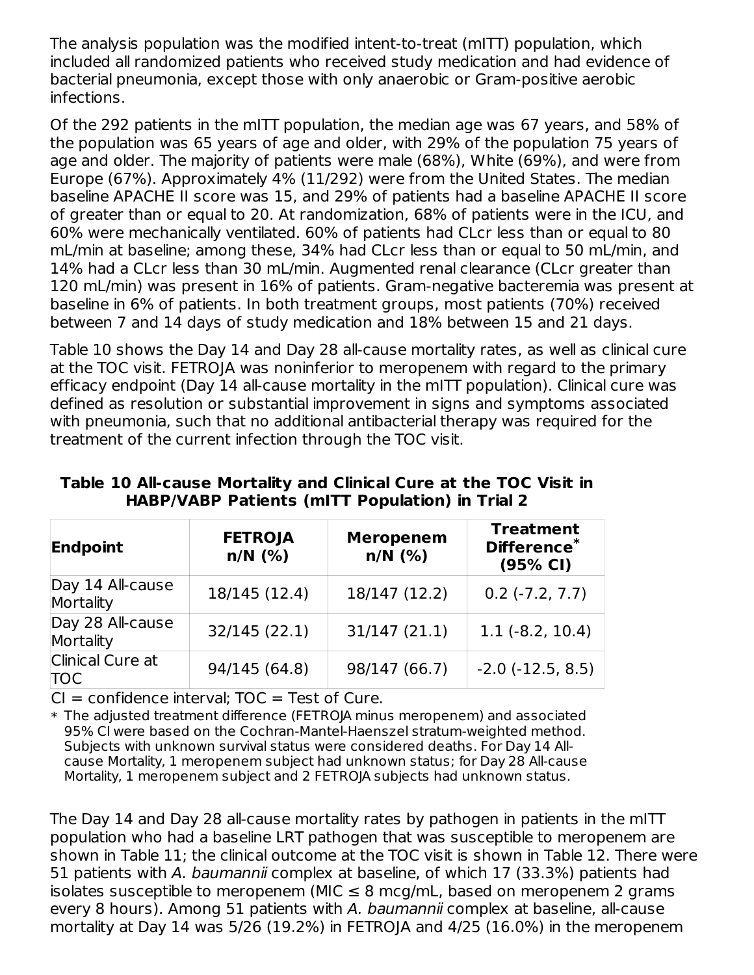The analysis population was the modified intent-to-treat (mITT) population, which included all randomized patients who received study medication and had evidence of bacterial pneumonia, except those with only anaerobic or Gram-positive aerobic infections.

Of the 292 patients in the mITT population, the median age was 67 years, and 58% of the population was 65 years of age and older, with 29% of the population 75 years of age and older. The majority of patients were male (68%), White (69%), and were from Europe (67%). Approximately 4% (11/292) were from the United States. The median baseline APACHE II score was 15, and 29% of patients had a baseline APACHE II score of greater than or equal to 20. At randomization, 68% of patients were in the ICU, and 60% were mechanically ventilated. 60% of patients had CLcr less than or equal to 80 mL/min at baseline; among these, 34% had CLcr less than or equal to 50 mL/min, and 14% had a CLcr less than 30 mL/min. Augmented renal clearance (CLcr greater than 120 mL/min) was present in 16% of patients. Gram-negative bacteremia was present at baseline in 6% of patients. In both treatment groups, most patients (70%) received between 7 and 14 days of study medication and 18% between 15 and 21 days.

Table 10 shows the Day 14 and Day 28 all-cause mortality rates, as well as clinical cure at the TOC visit. FETROJA was noninferior to meropenem with regard to the primary efficacy endpoint (Day 14 all-cause mortality in the mITT population). Clinical cure was defined as resolution or substantial improvement in signs and symptoms associated with pneumonia, such that no additional antibacterial therapy was required for the treatment of the current infection through the TOC visit.

| Endpoint                       | <b>FETROJA</b><br>$n/N$ (%) | <b>Meropenem</b><br>$n/N$ (%) | <b>Treatment</b><br>Difference*<br>(95% CI) |
|--------------------------------|-----------------------------|-------------------------------|---------------------------------------------|
| Day 14 All-cause<br>Mortality  | 18/145 (12.4)               | 18/147 (12.2)                 | $0.2$ ( $-7.2$ , $7.7$ )                    |
| Day 28 All-cause<br>Mortality  | 32/145(22.1)                | 31/147(21.1)                  | $1.1(-8.2, 10.4)$                           |
| Clinical Cure at<br><b>TOC</b> | 94/145 (64.8)               | 98/147 (66.7)                 | $-2.0$ $(-12.5, 8.5)$                       |

**Table 10 All-cause Mortality and Clinical Cure at the TOC Visit in HABP/VABP Patients (mITT Population) in Trial 2**

 $Cl =$  confidence interval:  $TOC =$  Test of Cure.

\* The adjusted treatment difference (FETROJA minus meropenem) and associated 95% CI were based on the Cochran-Mantel-Haenszel stratum-weighted method. Subjects with unknown survival status were considered deaths. For Day 14 Allcause Mortality, 1 meropenem subject had unknown status; for Day 28 All-cause Mortality, 1 meropenem subject and 2 FETROJA subjects had unknown status.

The Day 14 and Day 28 all-cause mortality rates by pathogen in patients in the mITT population who had a baseline LRT pathogen that was susceptible to meropenem are shown in Table 11; the clinical outcome at the TOC visit is shown in Table 12. There were 51 patients with A. baumannii complex at baseline, of which 17 (33.3%) patients had isolates susceptible to meropenem (MIC  $\leq$  8 mcg/mL, based on meropenem 2 grams every 8 hours). Among 51 patients with A. baumannii complex at baseline, all-cause mortality at Day 14 was 5/26 (19.2%) in FETROJA and 4/25 (16.0%) in the meropenem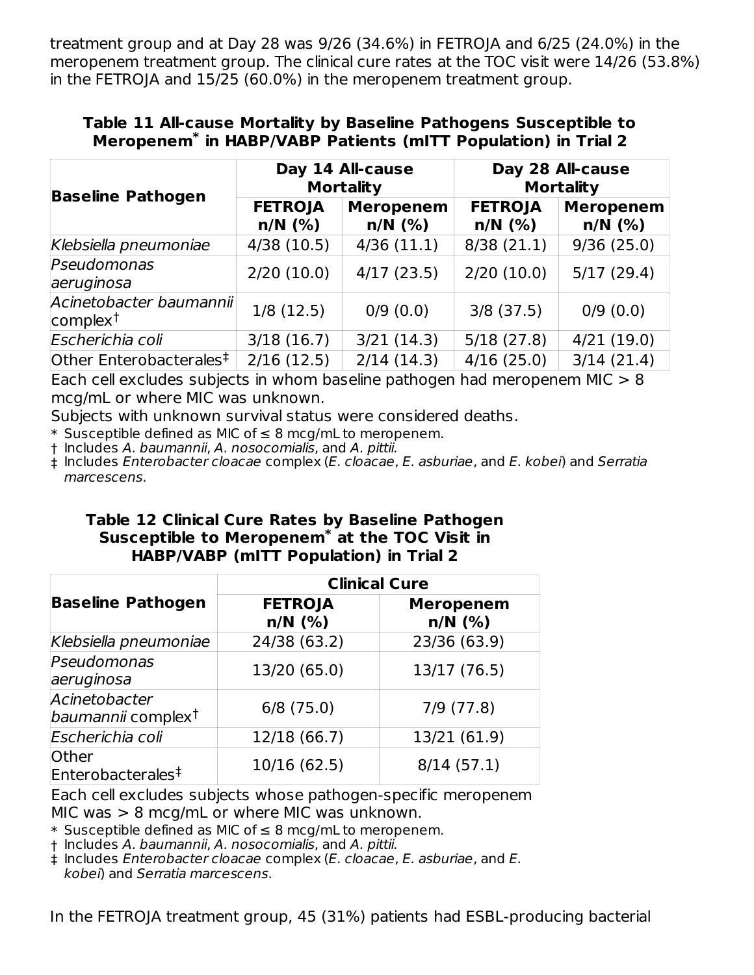treatment group and at Day 28 was 9/26 (34.6%) in FETROJA and 6/25 (24.0%) in the meropenem treatment group. The clinical cure rates at the TOC visit were 14/26 (53.8%) in the FETROJA and 15/25 (60.0%) in the meropenem treatment group.

#### **Table 11 All-cause Mortality by Baseline Pathogens Susceptible to** Meropenem<sup>\*</sup> in HABP/VABP Patients (mITT Population) in Trial 2

|                                                 | Day 14 All-cause<br><b>Mortality</b> |                               | Day 28 All-cause<br><b>Mortality</b> |                               |
|-------------------------------------------------|--------------------------------------|-------------------------------|--------------------------------------|-------------------------------|
| <b>Baseline Pathogen</b>                        | <b>FETROJA</b><br>$n/N$ (%)          | <b>Meropenem</b><br>$n/N$ (%) | <b>FETROJA</b><br>$n/N$ $(\%)$       | <b>Meropenem</b><br>$n/N$ (%) |
| Klebsiella pneumoniae                           | 4/38(10.5)                           | 4/36(11.1)                    | 8/38(21.1)                           | 9/36(25.0)                    |
| Pseudomonas<br>aeruginosa                       | 2/20(10.0)                           | 4/17(23.5)                    | 2/20(10.0)                           | 5/17(29.4)                    |
| Acinetobacter baumannii<br>complex <sup>†</sup> | 1/8(12.5)                            | 0/9(0.0)                      | $3/8$ (37.5)                         | 0/9(0.0)                      |
| Escherichia coli                                | 3/18(16.7)                           | 3/21(14.3)                    | 5/18(27.8)                           | 4/21(19.0)                    |
| Other Enterobacterales <sup>‡</sup>             | 2/16(12.5)                           | 2/14(14.3)                    | 4/16(25.0)                           | 3/14(21.4)                    |

Each cell excludes subjects in whom baseline pathogen had meropenem MIC > 8 mcg/mL or where MIC was unknown.

Subjects with unknown survival status were considered deaths.

\* Susceptible defined as MIC of ≤ 8 mcg/mL to meropenem.

† Includes A. baumannii, A. nosocomialis, and A. pittii.

‡ Includes Enterobacter cloacae complex (E. cloacae, E. asburiae, and E. kobei) and Serratia marcescens.

#### **Table 12 Clinical Cure Rates by Baseline Pathogen Susceptible to Meropenem at the TOC Visit in \* HABP/VABP (mITT Population) in Trial 2**

|                                                 | <b>Clinical Cure</b>        |                               |  |  |
|-------------------------------------------------|-----------------------------|-------------------------------|--|--|
| <b>Baseline Pathogen</b>                        | <b>FETROJA</b><br>$n/N$ (%) | <b>Meropenem</b><br>$n/N$ (%) |  |  |
| Klebsiella pneumoniae                           | 24/38 (63.2)                | 23/36 (63.9)                  |  |  |
| Pseudomonas<br>aeruginosa                       | 13/20 (65.0)                | 13/17 (76.5)                  |  |  |
| Acinetobacter<br>baumannii complex <sup>†</sup> | $6/8$ (75.0)                | $7/9$ $(77.8)$                |  |  |
| Escherichia coli                                | 12/18 (66.7)                | 13/21 (61.9)                  |  |  |
| Other<br>Enterobacterales <sup>‡</sup>          | 10/16 (62.5)                | 8/14(57.1)                    |  |  |

Each cell excludes subjects whose pathogen-specific meropenem MIC was  $> 8$  mcg/mL or where MIC was unknown.

\* Susceptible defined as MIC of ≤ 8 mcg/mL to meropenem.

† Includes A. baumannii, A. nosocomialis, and A. pittii.

‡ Includes Enterobacter cloacae complex (E. cloacae, E. asburiae, and E. kobei) and Serratia marcescens.

In the FETROJA treatment group, 45 (31%) patients had ESBL-producing bacterial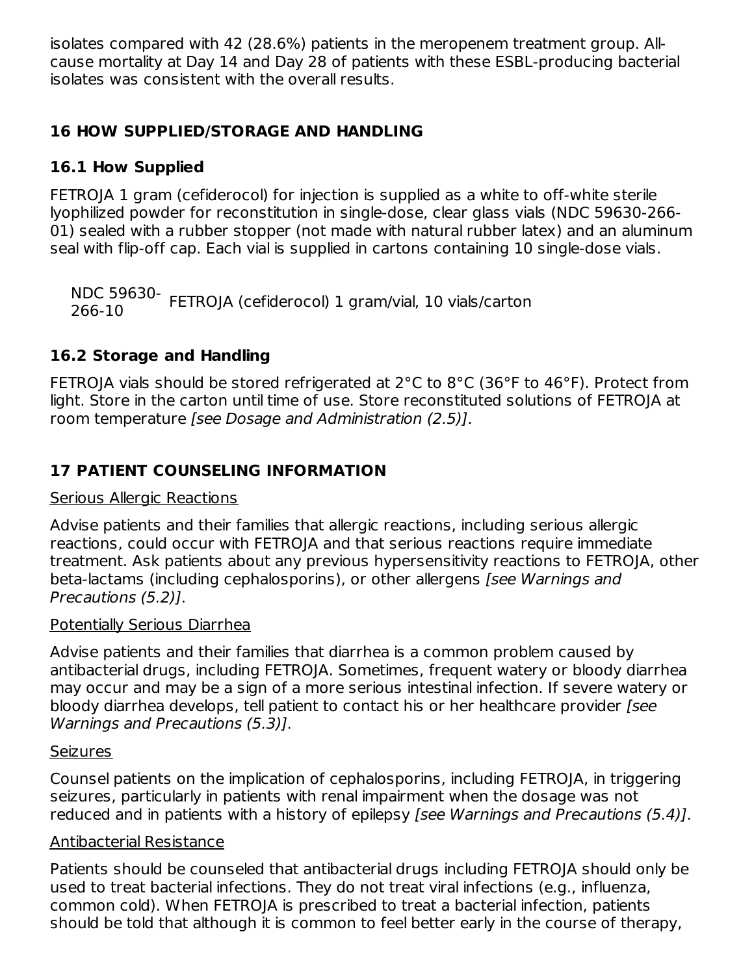isolates compared with 42 (28.6%) patients in the meropenem treatment group. Allcause mortality at Day 14 and Day 28 of patients with these ESBL-producing bacterial isolates was consistent with the overall results.

## **16 HOW SUPPLIED/STORAGE AND HANDLING**

# **16.1 How Supplied**

FETROJA 1 gram (cefiderocol) for injection is supplied as a white to off-white sterile lyophilized powder for reconstitution in single-dose, clear glass vials (NDC 59630-266- 01) sealed with a rubber stopper (not made with natural rubber latex) and an aluminum seal with flip-off cap. Each vial is supplied in cartons containing 10 single-dose vials.

NDC 59630- FETROJA (cefiderocol) 1 gram/vial, 10 vials/carton 266-10

# **16.2 Storage and Handling**

FETROJA vials should be stored refrigerated at 2°C to 8°C (36°F to 46°F). Protect from light. Store in the carton until time of use. Store reconstituted solutions of FETROJA at room temperature [see Dosage and Administration (2.5)].

# **17 PATIENT COUNSELING INFORMATION**

#### Serious Allergic Reactions

Advise patients and their families that allergic reactions, including serious allergic reactions, could occur with FETROJA and that serious reactions require immediate treatment. Ask patients about any previous hypersensitivity reactions to FETROJA, other beta-lactams (including cephalosporins), or other allergens [see Warnings and Precautions (5.2)].

#### Potentially Serious Diarrhea

Advise patients and their families that diarrhea is a common problem caused by antibacterial drugs, including FETROJA. Sometimes, frequent watery or bloody diarrhea may occur and may be a sign of a more serious intestinal infection. If severe watery or bloody diarrhea develops, tell patient to contact his or her healthcare provider [see Warnings and Precautions (5.3)].

#### **Seizures**

Counsel patients on the implication of cephalosporins, including FETROJA, in triggering seizures, particularly in patients with renal impairment when the dosage was not reduced and in patients with a history of epilepsy *[see Warnings and Precautions (5.4)]*.

#### Antibacterial Resistance

Patients should be counseled that antibacterial drugs including FETROJA should only be used to treat bacterial infections. They do not treat viral infections (e.g., influenza, common cold). When FETROJA is prescribed to treat a bacterial infection, patients should be told that although it is common to feel better early in the course of therapy,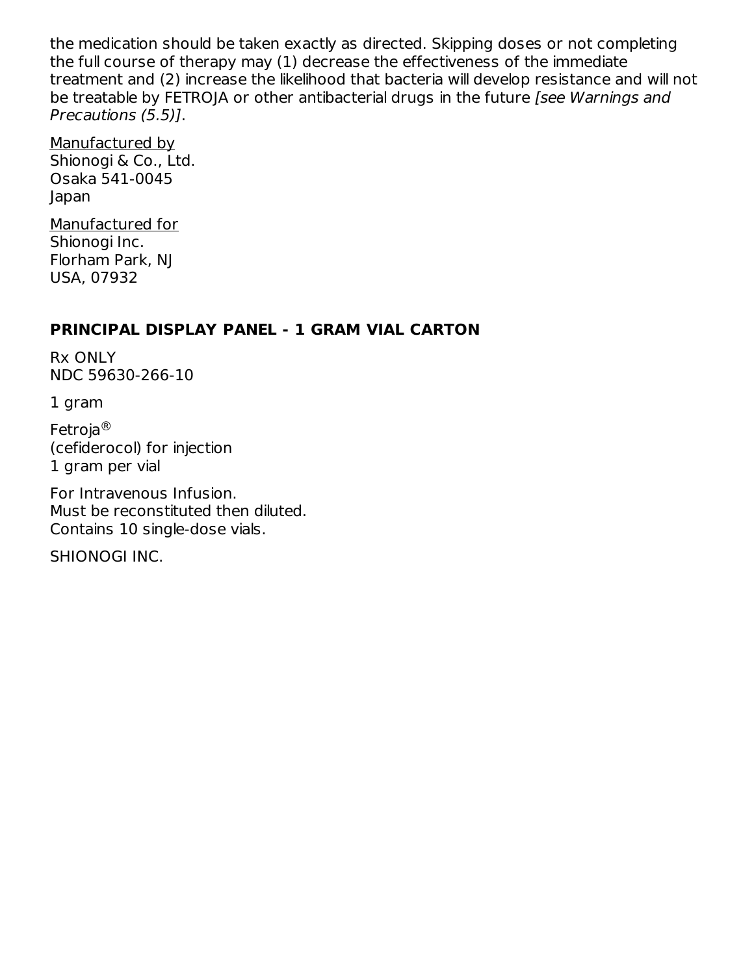the medication should be taken exactly as directed. Skipping doses or not completing the full course of therapy may (1) decrease the effectiveness of the immediate treatment and (2) increase the likelihood that bacteria will develop resistance and will not be treatable by FETROIA or other antibacterial drugs in the future *[see Warnings and* Precautions (5.5)].

Manufactured by Shionogi & Co., Ltd. Osaka 541-0045 Japan

Manufactured for Shionogi Inc. Florham Park, NJ USA, 07932

#### **PRINCIPAL DISPLAY PANEL - 1 GRAM VIAL CARTON**

Rx ONLY NDC 59630-266-10

1 gram

Fetroja ®(cefiderocol) for injection 1 gram per vial

For Intravenous Infusion. Must be reconstituted then diluted. Contains 10 single-dose vials.

SHIONOGI INC.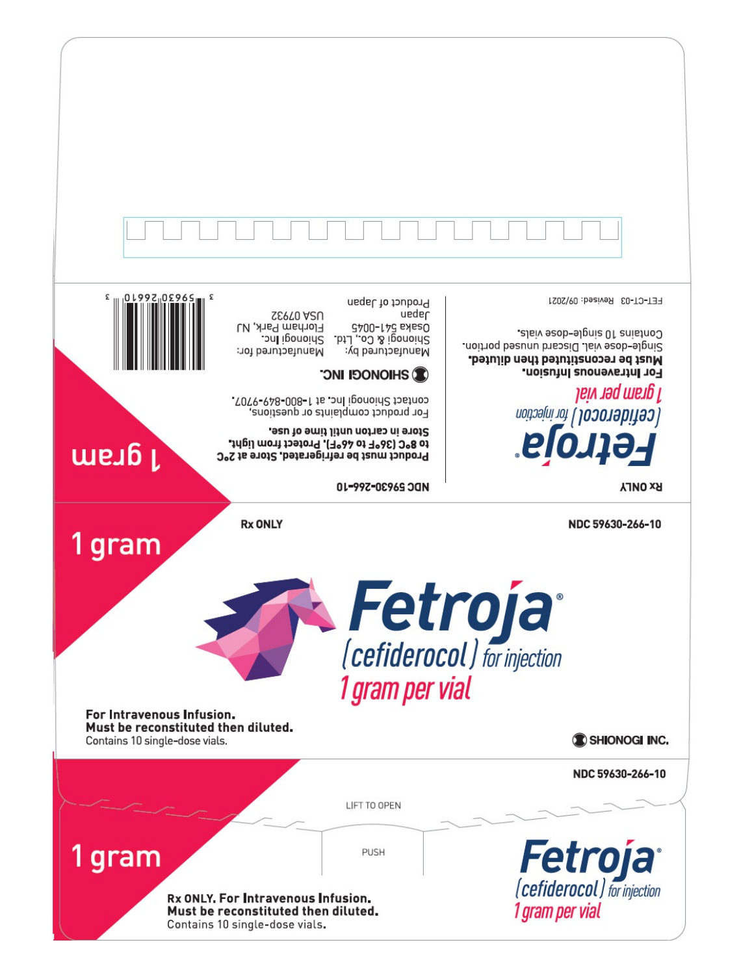| £<br>$\epsilon$ 10 $1992$ <sub>11</sub> 0 $2965$                                                             | Product of Japan<br>neqel<br><b>SEPTO A2U</b><br>Florham Park, NJ<br><b>G700-L7G EXESO</b><br>Shionogi & Co., Ltd.<br>Shionogi Inc.<br>Manufactured for:<br>Manufactured by:                                                                | FET-CT-03 Revised: 09/2021<br>Contains 10 single-dose vials<br>Single-dose vial. Discard unused portion.<br>Must be reconstituted then diluted.<br>For Intravenous Infusion. |
|--------------------------------------------------------------------------------------------------------------|---------------------------------------------------------------------------------------------------------------------------------------------------------------------------------------------------------------------------------------------|------------------------------------------------------------------------------------------------------------------------------------------------------------------------------|
| 1 gram                                                                                                       | <b>C</b> SHIONOCI INC<br>contact Shionogi Inc. at 1-800-849-9707.<br>For product complaints or questions,<br>Store in carton until time of use.<br>to 8°C (36°F to 46°F). Protect from light.<br>Product must be refrigerated. Store at 2°C | 1 gram per vial<br><b>Cefiderocol ) for injection</b><br>Fetroja <sup>.</sup>                                                                                                |
|                                                                                                              | 01-997-02969 JON<br><b>Rx ONLY</b>                                                                                                                                                                                                          | <b>RX ONLY</b><br>NDC 59630-266-10                                                                                                                                           |
| 1 gram<br>For Intravenous Infusion.<br>Must be reconstituted then diluted.<br>Contains 10 single-dose vials. | 1 gram per vial                                                                                                                                                                                                                             | Fetroja<br>(cefiderocol) for injection<br>SHIONOGI INC.                                                                                                                      |
|                                                                                                              | LIFT TO OPEN                                                                                                                                                                                                                                | NDC 59630-266-10                                                                                                                                                             |
| gram                                                                                                         | <b>PUSH</b><br>Rx ONLY. For Intravenous Infusion.<br>Must be reconstituted then diluted.<br>Contains 10 single-dose vials.                                                                                                                  | <b>Fetroja</b> <sup>*</sup><br>1 gram per vial                                                                                                                               |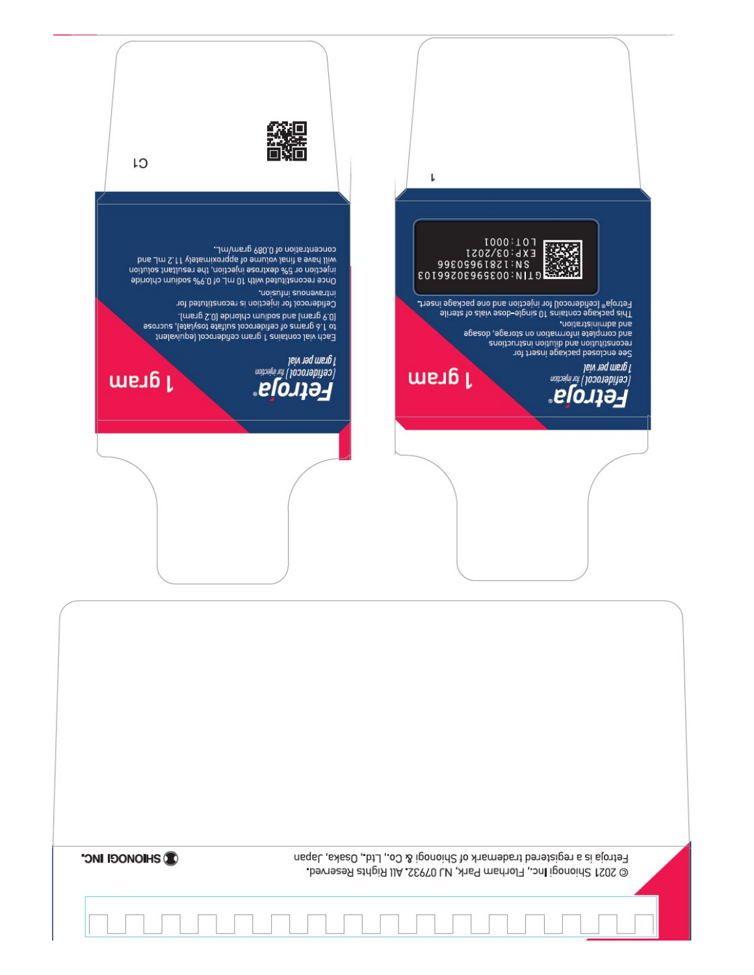| CI                                                                                                                    |                                                                                                                                                                                                                                            | l                                                                                                                                             |                                                                                                                                                                                                                                      |
|-----------------------------------------------------------------------------------------------------------------------|--------------------------------------------------------------------------------------------------------------------------------------------------------------------------------------------------------------------------------------------|-----------------------------------------------------------------------------------------------------------------------------------------------|--------------------------------------------------------------------------------------------------------------------------------------------------------------------------------------------------------------------------------------|
| injection or 5% dextrose injection, the resultant solution<br>9 once reconstituted with 10 mL of 0.9% sodium chloride | concentration of 0.089 gram/mL.<br>bns Jm S.11 vlatsmixonqqs to amulov lanit s evad liiw<br>noizutni zuonevsntni<br>Cefiderocol for injection is reconstituted for                                                                         | E01:0001<br>EXP:03/2021<br>998099618ZI:NS<br>E01992069696303PHELL<br>Fetroja® (cefiderocol) for injection and one package insert.             | 9lineta to alsiv each-olpnia 01 anistnoo epsybeq aidT                                                                                                                                                                                |
| 1 gram                                                                                                                | . (meng S.0) ebinoldo muiboe bns (meng 9.0)<br>seonous , letalyeot etallue Jooonebiteo to emeng à. I ot<br>Each vial contains 1 gram cefiderocol (equivalent<br>1 gram per vial<br>Teefiderool ) for injection<br>1 gram<br><b>Fetroja</b> | 1 gram                                                                                                                                        | and administration.<br>apesob , apere information on storage, dosage<br>enoitounteni noitulib bns noitutitenooen<br>See enclosed package insert for<br>1 gram per vial<br> cefiderocol <i>) for vijection</i><br><b> Fet troja</b> " |
|                                                                                                                       |                                                                                                                                                                                                                                            |                                                                                                                                               |                                                                                                                                                                                                                                      |
|                                                                                                                       |                                                                                                                                                                                                                                            |                                                                                                                                               |                                                                                                                                                                                                                                      |
|                                                                                                                       |                                                                                                                                                                                                                                            |                                                                                                                                               |                                                                                                                                                                                                                                      |
|                                                                                                                       |                                                                                                                                                                                                                                            |                                                                                                                                               |                                                                                                                                                                                                                                      |
| <b>CONDIDATION</b>                                                                                                    |                                                                                                                                                                                                                                            | Fetroja is a registered trademark of Shionogi & Co., Ltd., Osaka, Japan<br>© 2021 Shionogi Inc., Florham Park, NJ 07932. All Rights Reserved. |                                                                                                                                                                                                                                      |
|                                                                                                                       |                                                                                                                                                                                                                                            |                                                                                                                                               |                                                                                                                                                                                                                                      |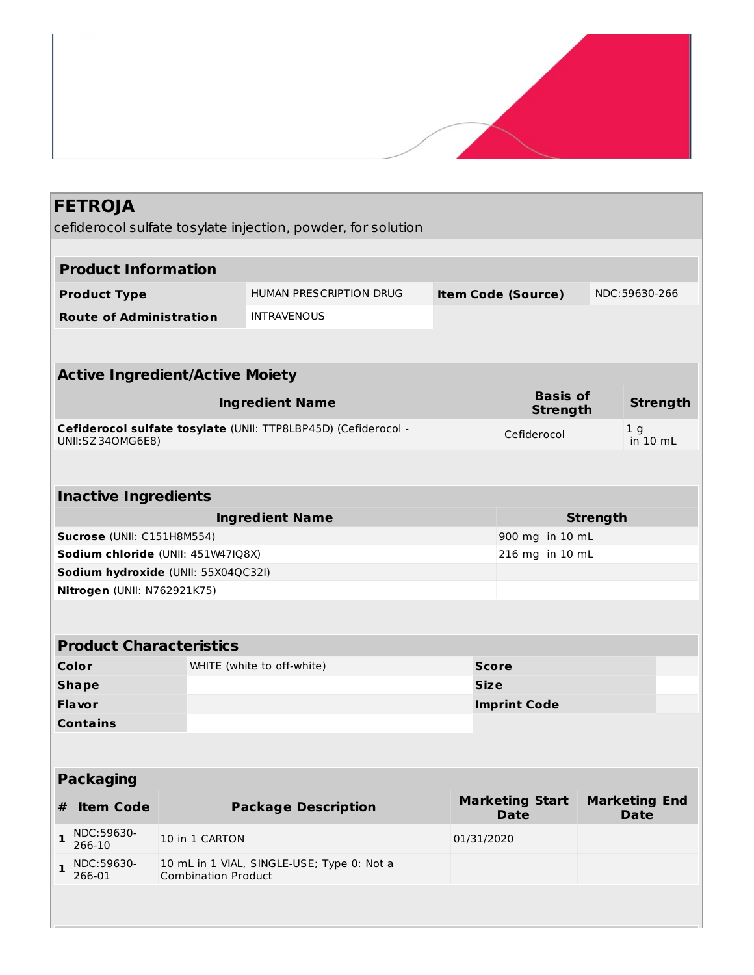|                                                       | <b>FETROJA</b>                      |                                        | cefiderocol sulfate tosylate injection, powder, for solution   |  |                                       |                 |                                     |
|-------------------------------------------------------|-------------------------------------|----------------------------------------|----------------------------------------------------------------|--|---------------------------------------|-----------------|-------------------------------------|
|                                                       |                                     |                                        |                                                                |  |                                       |                 |                                     |
|                                                       | <b>Product Information</b>          |                                        |                                                                |  |                                       |                 |                                     |
|                                                       | <b>Product Type</b>                 |                                        | HUMAN PRESCRIPTION DRUG                                        |  | <b>Item Code (Source)</b>             |                 | NDC:59630-266                       |
|                                                       | <b>Route of Administration</b>      |                                        | <b>INTRAVENOUS</b>                                             |  |                                       |                 |                                     |
|                                                       |                                     |                                        |                                                                |  |                                       |                 |                                     |
|                                                       |                                     | <b>Active Ingredient/Active Moiety</b> |                                                                |  |                                       |                 |                                     |
|                                                       |                                     |                                        | <b>Ingredient Name</b>                                         |  | <b>Basis of</b><br><b>Strength</b>    |                 | <b>Strength</b>                     |
|                                                       | UNII:SZ34OMG6E8)                    |                                        | Cefiderocol sulfate tosylate (UNII: TTP8LBP45D) (Cefiderocol - |  | Cefiderocol                           |                 | 1 <sub>g</sub><br>in 10 mL          |
|                                                       |                                     |                                        |                                                                |  |                                       |                 |                                     |
|                                                       | <b>Inactive Ingredients</b>         |                                        |                                                                |  |                                       |                 |                                     |
|                                                       |                                     |                                        | <b>Ingredient Name</b>                                         |  |                                       | <b>Strength</b> |                                     |
| Sucrose (UNII: C151H8M554)<br>900 mg in 10 mL         |                                     |                                        |                                                                |  |                                       |                 |                                     |
| 216 mg in 10 mL<br>Sodium chloride (UNII: 451W47IQ8X) |                                     |                                        |                                                                |  |                                       |                 |                                     |
|                                                       | Sodium hydroxide (UNII: 55X04QC32I) |                                        |                                                                |  |                                       |                 |                                     |
|                                                       | Nitrogen (UNII: N762921K75)         |                                        |                                                                |  |                                       |                 |                                     |
|                                                       |                                     |                                        |                                                                |  |                                       |                 |                                     |
|                                                       | <b>Product Characteristics</b>      |                                        |                                                                |  |                                       |                 |                                     |
|                                                       | Color                               |                                        | WHITE (white to off-white)                                     |  | <b>Score</b>                          |                 |                                     |
|                                                       | <b>Shape</b>                        |                                        |                                                                |  | <b>Size</b>                           |                 |                                     |
|                                                       | <b>Flavor</b>                       |                                        |                                                                |  | <b>Imprint Code</b>                   |                 |                                     |
| <b>Contains</b>                                       |                                     |                                        |                                                                |  |                                       |                 |                                     |
| <b>Packaging</b>                                      |                                     |                                        |                                                                |  |                                       |                 |                                     |
| #                                                     | <b>Item Code</b>                    |                                        | <b>Package Description</b>                                     |  | <b>Marketing Start</b><br><b>Date</b> |                 | <b>Marketing End</b><br><b>Date</b> |
| 1                                                     | NDC:59630-<br>266-10                | 10 in 1 CARTON                         |                                                                |  | 01/31/2020                            |                 |                                     |
| 1                                                     | NDC:59630-<br>266-01                | <b>Combination Product</b>             | 10 mL in 1 VIAL, SINGLE-USE; Type 0: Not a                     |  |                                       |                 |                                     |
|                                                       |                                     |                                        |                                                                |  |                                       |                 |                                     |